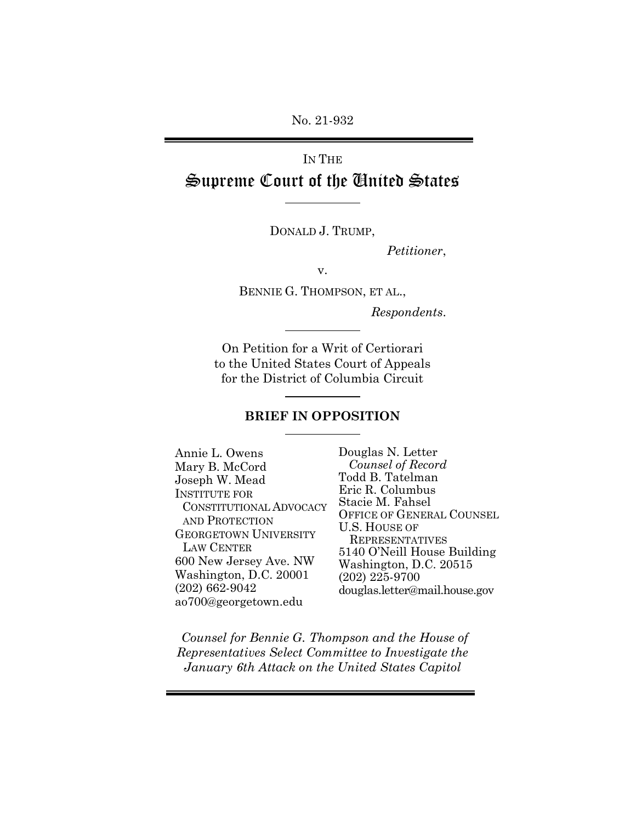No. 21-932

# Supreme Court of the United States  $\frac{2}{3}$ IN THE

DONALD J. TRUMP,

Petitioner,

v.

BENNIE G. THOMPSON, ET AL.,

Respondents.

 On Petition for a Writ of Certiorari to the United States Court of Appeals for the District of Columbia Circuit On Petition for a Writ of Cer<br>
to the United States Court of .<br>
for the District of Columbia (<br>
BRIEF IN OPPOSITIC<br>
BRIEF IN OPPOSITIC<br>
B. L. Owens<br>
B. McCord Counse<br>
h W. Mead Todd B.'

#### BRIEF IN OPPOSITION

Mary B. McCord Counsel of Record Joseph W. Mead Todd B. Tatelman 600 New Jersey Ave. NW Washington, D.C. 20001 (202) 225-9700  $(202)$  662-9042 Annie L. Owens Douglas N. Letter INSTITUTE FOR<br>
CONSTITUTIONAL ADVOCACY<br>
AND PROTECTION<br>
GEORGETOWN UNIVERSITY<br>
LAW CENTER<br>
LAW CENTER<br>
LAW CENTER<br>
LAW CENTER<br>
LAW CENTER<br>
LAW CENTER<br>
LAW CENTER<br>
LAW CENTER<br>
LAW CENTER<br>
LAW CENTER<br>
LAW CENTER<br>
LAW CENTER<br> No. 21-932<br>
IN THE<br> **Supreme Court of the**<br>
DONALD J. TRU<br>
DONALD J. TRU<br>
V.<br>
BENNIE G. THOMPSO<br>
TRUSCON<br>
On Petition for a Writ to the United States Cour<br>
for the District of Colum<br>
BRIEF IN OPPOS<br>
nie L. Owens<br>
DONALD J. INSTITUTE FOR Eric R. Columbus<br>
CONSTITUTIONAL ADVOCACY Stacie M. Fahsel<br>
AND PROTECTION UNIVERSITY U.S. HOUSE OF GENERAL COUNSEL<br>
GEORGETOWN UNIVERSITY LAW CENTER<br>
LAW CENTER 5140 O'Neill House Building<br>
600 New Jersey Av ao700@georgetown.edu

Todd B. Tatelman Stacie M. Fahsel<br>OFFICE OF GENERAL COUNSEL Washington, D.C. 20515  $(202)$   $225-9700$ (202) 662-9042 douglas.letter@mail.house.gov

 Counsel for Bennie G. Thompson and the House of Representatives Select Committee to Investigate the January 6th Attack on the United States Capitol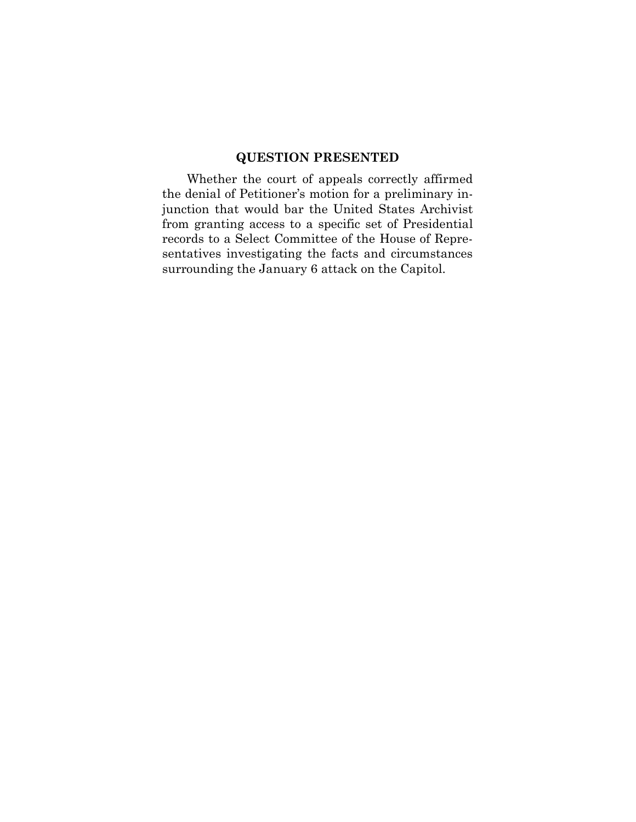the denial of Petitioner's motion for a preliminary in- junction that would bar the United States Archivist from granting access to a specific set of Presidential sentatives investigating the facts and circumstances surrounding the January 6 attack on the Capitol.**QUESTION PRESENTED**<br>ether the court of appeals corrected of Petitioner's motion for a pre-<br>that would bar the United State anting access to a specific set of<br>to a Select Committee of the Houtes investigating the facts and Whether the court of appeals correctly affirmed records to a Select Committee of the House of Repre-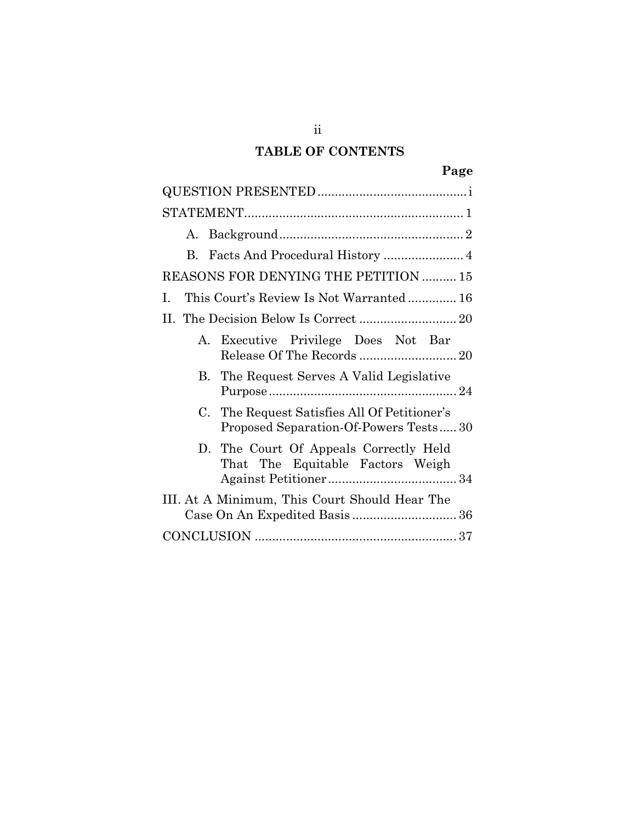# TABLE OF CONTENTS

| А.                                                                                    |
|---------------------------------------------------------------------------------------|
| B.                                                                                    |
| REASONS FOR DENYING THE PETITION  15                                                  |
| This Court's Review Is Not Warranted 16<br>L                                          |
|                                                                                       |
| A. Executive Privilege Does Not Bar                                                   |
| B. The Request Serves A Valid Legislative                                             |
| C. The Request Satisfies All Of Petitioner's<br>Proposed Separation-Of-Powers Tests30 |
| D. The Court Of Appeals Correctly Held<br>That The Equitable Factors Weigh            |
| III. At A Minimum, This Court Should Hear The                                         |
|                                                                                       |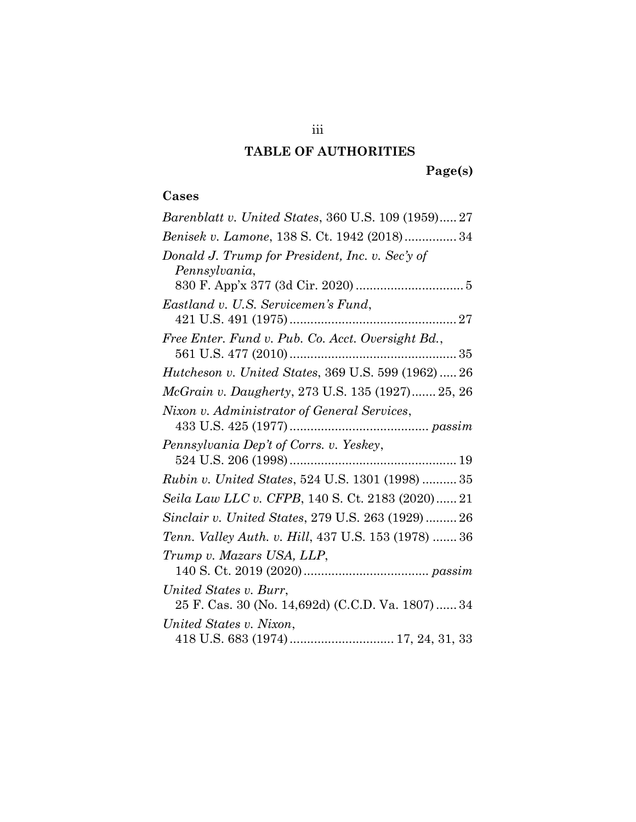# TABLE OF AUTHORITIES

# Cases

| 111                                                                         |
|-----------------------------------------------------------------------------|
| <b>TABLE OF AUTHORITIES</b>                                                 |
| Page(s)                                                                     |
| Cases                                                                       |
| Barenblatt v. United States, 360 U.S. 109 (1959) 27                         |
| Benisek v. Lamone, 138 S. Ct. 1942 (2018) 34                                |
| Donald J. Trump for President, Inc. v. Sec'y of<br>Pennsylvania,            |
|                                                                             |
| Eastland v. U.S. Servicemen's Fund,                                         |
| Free Enter. Fund v. Pub. Co. Acct. Oversight Bd.,                           |
| Hutcheson v. United States, 369 U.S. 599 (1962) 26                          |
| McGrain v. Daugherty, 273 U.S. 135 (1927) 25, 26                            |
| Nixon v. Administrator of General Services,                                 |
| Pennsylvania Dep't of Corrs. v. Yeskey,                                     |
| <i>Rubin v. United States, 524 U.S. 1301 (1998)  35</i>                     |
| Seila Law LLC v. CFPB, 140 S. Ct. 2183 (2020) 21                            |
| Sinclair v. United States, 279 U.S. 263 (1929) 26                           |
| Tenn. Valley Auth. v. Hill, 437 U.S. 153 (1978)  36                         |
| Trump v. Mazars USA, LLP,                                                   |
| United States v. Burr,<br>25 F. Cas. 30 (No. 14,692d) (C.C.D. Va. 1807)  34 |
| United States v. Nixon,                                                     |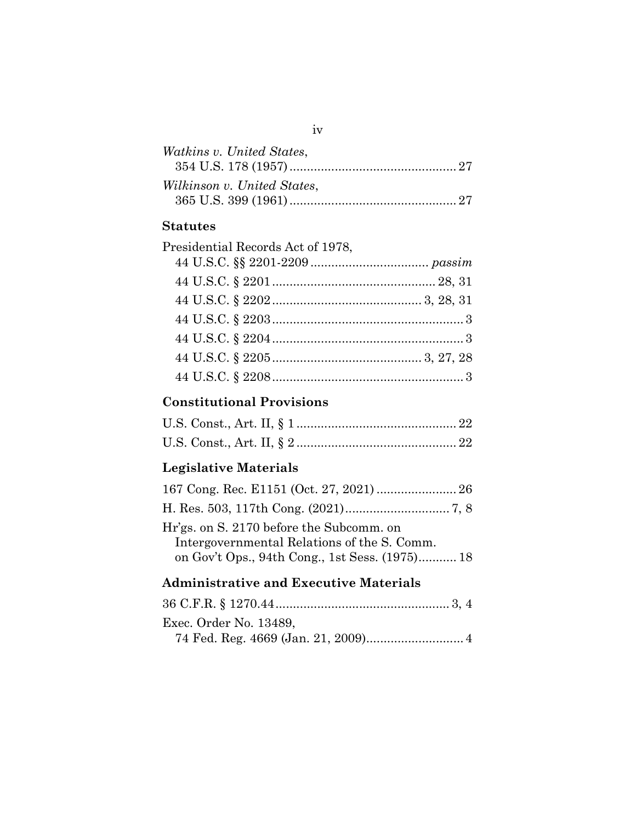| Watkins v. United States,         |  |
|-----------------------------------|--|
| Wilkinson v. United States,       |  |
| <b>Statutes</b>                   |  |
| Presidential Records Act of 1978, |  |
|                                   |  |

## Statutes

<span id="page-4-0"></span>

| iv                                                                                                                                        |
|-------------------------------------------------------------------------------------------------------------------------------------------|
| Watkins v. United States,                                                                                                                 |
| Wilkinson v. United States,                                                                                                               |
| Statutes                                                                                                                                  |
| Presidential Records Act of 1978,                                                                                                         |
|                                                                                                                                           |
|                                                                                                                                           |
|                                                                                                                                           |
|                                                                                                                                           |
|                                                                                                                                           |
|                                                                                                                                           |
|                                                                                                                                           |
| <b>Constitutional Provisions</b>                                                                                                          |
|                                                                                                                                           |
|                                                                                                                                           |
| Legislative Materials                                                                                                                     |
|                                                                                                                                           |
|                                                                                                                                           |
| Hr'gs. on S. 2170 before the Subcomm. on<br>Intergovernmental Relations of the S. Comm.<br>on Gov't Ops., 94th Cong., 1st Sess. (1975) 18 |
| Administrative and Executive Materials                                                                                                    |
|                                                                                                                                           |
| Exec. Order No. 13489,<br>74 Fed. Reg. 4669 (Jan. 21, 2009) 4                                                                             |
|                                                                                                                                           |

# Constitutional Provisions

| <b>Legislative Materials</b> |  |
|------------------------------|--|
|                              |  |

# Legislative Materials

| Hr'gs. on S. 2170 before the Subcomm. on    |  |
|---------------------------------------------|--|
| Intergovernmental Relations of the S. Comm. |  |
|                                             |  |

### Administrative and Executive Materials

| on Gov't Ops., 94th Cong., 1st Sess. (1975) 18 |  |
|------------------------------------------------|--|
| <b>Administrative and Executive Materials</b>  |  |
|                                                |  |
| Exec. Order No. 13489,                         |  |
|                                                |  |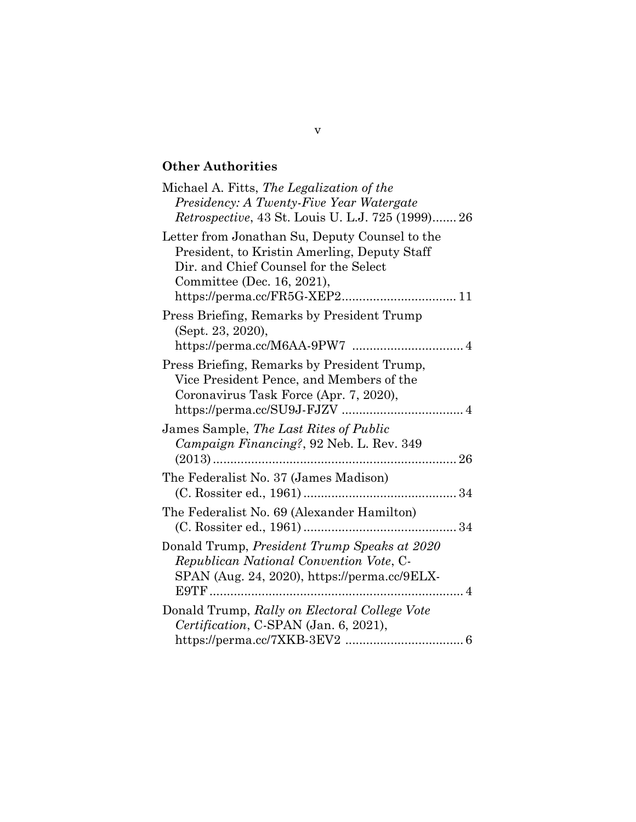# Other Authorities

| Michael A. Fitts, The Legalization of the                 |
|-----------------------------------------------------------|
| Presidency: A Twenty-Five Year Watergate                  |
| <i>Retrospective</i> , 43 St. Louis U. L.J. 725 (1999) 26 |
| Letter from Jonathan Su, Deputy Counsel to the            |
| President, to Kristin Amerling, Deputy Staff              |
| Dir. and Chief Counsel for the Select                     |
| Committee (Dec. 16, 2021),                                |
|                                                           |
| Press Briefing, Remarks by President Trump                |
| (Sept. 23, 2020),                                         |
|                                                           |
| Press Briefing, Remarks by President Trump,               |
| Vice President Pence, and Members of the                  |
| Coronavirus Task Force (Apr. 7, 2020),                    |
|                                                           |
| James Sample, The Last Rites of Public                    |
| Campaign Financing?, 92 Neb. L. Rev. 349                  |
| $(2013)$                                                  |
| The Federalist No. 37 (James Madison)                     |
|                                                           |
| The Federalist No. 69 (Alexander Hamilton)                |
|                                                           |
| Donald Trump, President Trump Speaks at 2020              |
| Republican National Convention Vote, C-                   |
| SPAN (Aug. 24, 2020), https://perma.cc/9ELX-              |
|                                                           |
| Donald Trump, Rally on Electoral College Vote             |
| Certification, C-SPAN (Jan. 6, 2021),                     |
|                                                           |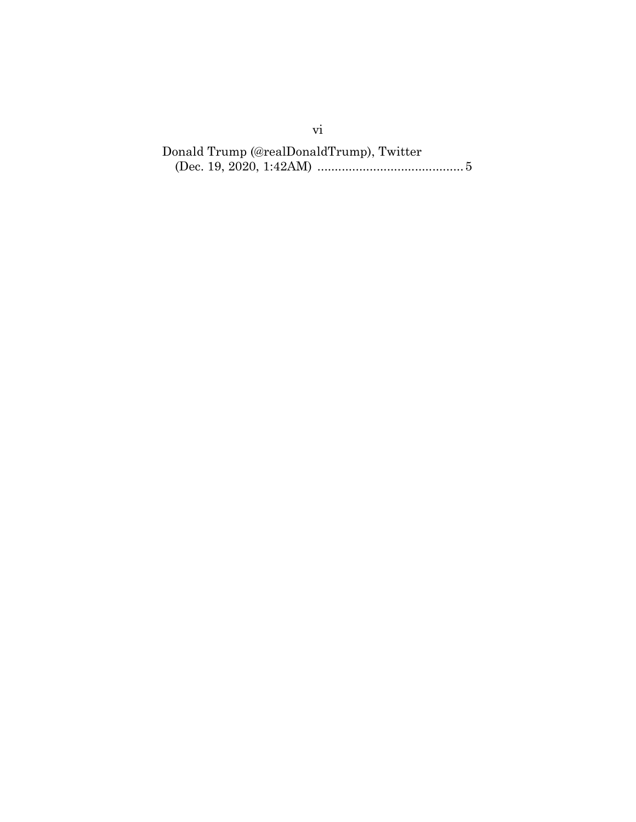(Dec. 19, 2020, 1:42AM) .......................................... 5 vi<br>Trump (@realDonald<br>19, 2020, 1:42AM) Donald Trump (@realDonaldTrump), Twitter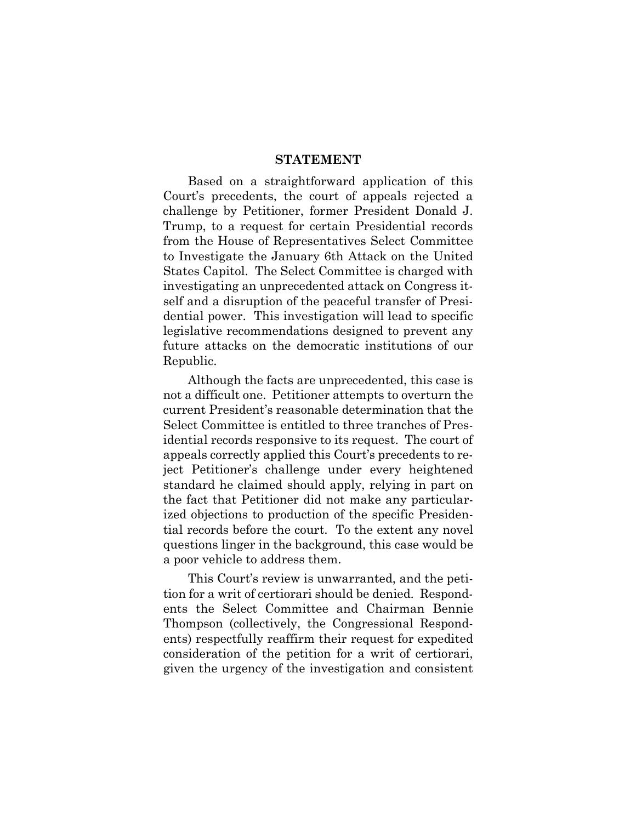#### STATEMENT

<span id="page-7-0"></span> Based on a straightforward application of this challenge by Petitioner, former President Donald J. Trump, to a request for certain Presidential records Trump, to a request for certain Presidential records<br>from the House of Representatives Select Committee to Investigate the January 6th Attack on the United States Capitol. The Select Committee is charged with investigating an unprecedented attack on Congress it- dential power. This investigation will lead to specific legislative recommendations designed to prevent any future attacks on the democratic institutions of our on a straight<br>ecedents, the<br>by Petitioner, gating an unprecedented attacked a disruption of the peaceful<br>power. This investigation wi<br>ive recommendations designe Court's precedents, the court of appeals rejected a self and a disruption of the peaceful transfer of Presi-Republic.

 not a difficult one. Petitioner attempts to overturn the current President's reasonable determination that the Select Committee is entitled to three tranches of Pres- idential records responsive to its request. The court of appeals correctly applied this Court's precedents to re- standard he claimed should apply, relying in part on the fact that Petitioner did not make any particular- ized objections to production of the specific Presiden- tial records before the court. To the extent any novel questions linger in the background, this case would be a poor vehicle to address them. attacks on the democratic institution<br>lic.<br>though the facts are unprecedented, thi<br>lifficult one. Petitioner attempts to over<br>t President's reasonable determination<br>Committee is entitled to three tranches ntial records responsive to its request. The<br>leals correctly applied this Court's preceden<br>leads correctly applied this Court's preceden<br>hdard he claimed should apply, relying in<br>fact that Petitioner did not make any pair<br> Although the facts are unprecedented, this case is ject Petitioner's challenge under every heightened

 This Court's review is unwarranted, and the peti- tion for a writ of certiorari should be denied. Respond- ents the Select Committee and Chairman Bennie ents) respectfully reaffirm their request for expedited<br>consideration of the petition for a writ of certiorari,<br>given the urgency of the investigation and consistent consideration of the petition for a writ of certiorari, given the urgency of the investigation and consistent Thompson (collectively, the Congressional Respond-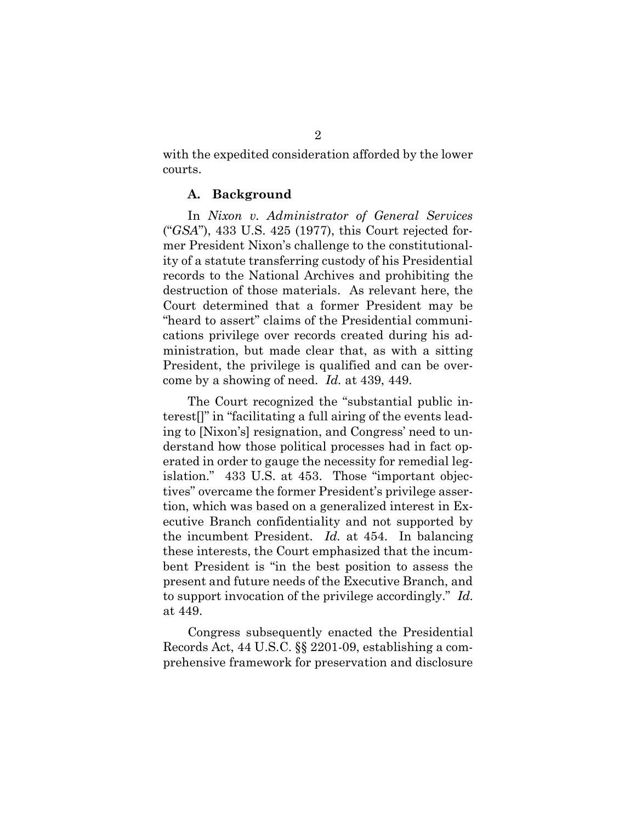with the expedited consideration afforded by the lower In the expedited consideration afforded by the lower ts.<br> **A. Background**<br>
In *Nixon v. Administrator of General Services* courts.

#### A. Background

 ("GSA"), 433 U.S. 425 (1977), this Court rejected for-(" $GSA$ "), 433 U.S. 425 (1977), this Court rejected former President Nixon's challenge to the constitutional- records to the National Archives and prohibiting the destruction of those materials. As relevant here, the destruction of those materials. As relevant here, the<br>Court determined that a former President may be cations privilege over records created during his ad-<br>ministration, but made clear that, as with a sitting<br>President, the privilege is qualified and can be over- ministration, but made clear that, as with a sitting President, the privilege is qualified and can be overcome by a showing of need. Id. at 439, 449. ity of a statute transferring custody of his Presidential "heard to assert" claims of the Presidential communi-

<span id="page-8-0"></span> The Court recognized the "substantial public in- ing to [Nixon's] resignation, and Congress' need to un- derstand how those political processes had in fact op- erated in order to gauge the necessity for remedial leg- islation." 433 U.S. at 453. Those "important objec- tives" overcame the former President's privilege asser- tion, which was based on a generalized interest in Ex- ecutive Branch confidentiality and not supported by the incumbent President. Id. at 454. In balancing these interests, the Court emphasized that the incum- bent President is "in the best position to assess the present and future needs of the Executive Branch, and by a showing of need.  $Id$ . at 439, 449.<br>
he Court recognized the "substantial"<br>
in "facilitating a full airing of the ev<br>
[Nixon's] resignation, and Congress' n<br>
nd how those political processes had<br>
in order to gauge the 2<br>the expedited considerats.<br> **A. Background**<br>
In *Nixon v. Administr*<br>  $A^n$ , 433 U.S. 425 (1977<br>  $A^m$ , 433 U.S. 425 (1977<br>  $A^n$ ), 433 U.S. 425 (1977<br>  $A^n$ ), 433 U.S. 425 (1977<br>  $A^n$ ), 433 U.S. 425 (1977<br>  $A^n$ ) a shall terest[]" in "facilitating a full airing of the events leadto support invocation of the privilege accordingly." Id. at 449.

 Records Act, 44 U.S.C. §§ 2201-09, establishing a com- prehensive framework for preservation and disclosureCongress subsequently enacted the Presidential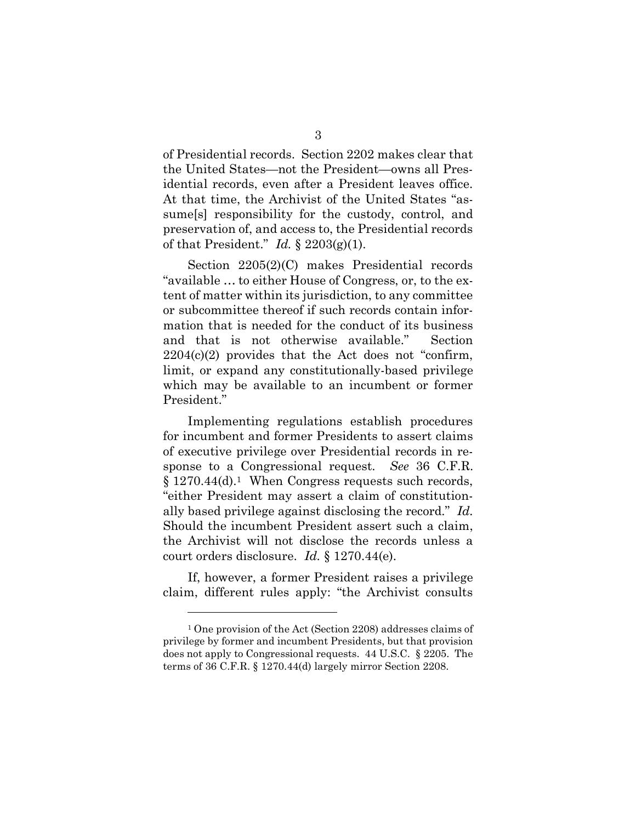of Presidential records. Section 2202 makes clear that the United States—not the President—owns all Pres- idential records, even after a President leaves office. At that time, the Archivist of the United States "as- sume[s] responsibility for the custody, control, and preservation of, and access to, the Presidential records of that President." Id.  $\S 2203(g)(1)$ . dential records. Section 2202 makes cl<br>ted States—not the President—owns a<br>records, even after a President leave<br>time, the Archivist of the United Sta<br>responsibility for the custody, cont<br>ation of, and access to, the Pres

 Section 2205(2)(C) makes Presidential records "available … to either House of Congress, or, to the ex- tent of matter within its jurisdiction, to any committee or subcommittee thereof if such records contain infor- mation that is needed for the conduct of its business and that is not otherwise available." Section  $2204(c)(2)$  provides that the Act does not "confirm, limit, or expand any constitutionally-based privilege which may be available to an incumbent or former Example to the is surisdiction, to any<br>ubcommittee thereof if such records con-<br>ion that is needed for the conduct of it<br>that is not otherwise available."<br> $4(c)(2)$  provides that the Act does not<br>t, or expand any constituti President."

 Implementing regulations establish procedures for incumbent and former Presidents to assert claims of executive privilege over Presidential records in response to a Congressional request. See 36 C.F.R. sponse to a Congressional request. See 36 C.F.R.  $\S 1270.44(d).$ <sup>1</sup> When Congress requests such records, "either President may assert a claim of constitutionally based privilege against disclosing the record." Id. Should the incumbent President assert such a claim, the Archivist will not disclose the records unless a court orders disclosure. Id.  $§ 1270.44(e)$ . er President may assert a claim of conseal privilege against disclosing the real dath incumbent President assert such a her incumbent President assert such a her included and the records orders disclosure. *Id*. § 1270.44( 3<br>3<br>residential records. Sect<br>United States—not the<br>trial records, even after<br>that time, the Archivist<br>ne[s] responsibility for t<br>servation of, and access ta<br>nat President." Id. § 220<br>Section 2205(2)(C) ma<br>ilable ... to e

 If, however, a former President raises a privilege claim, different rules apply: "the Archivist consults

 <sup>1</sup> One provision of the Act (Section 2208) addresses claims of privilege by former and incumbent Presidents, but that provision does not apply to Congressional requests. 44 U.S.C. § 2205. The terms of 36 C.F.R. § 1270.44(d) largely mirror Section 2208.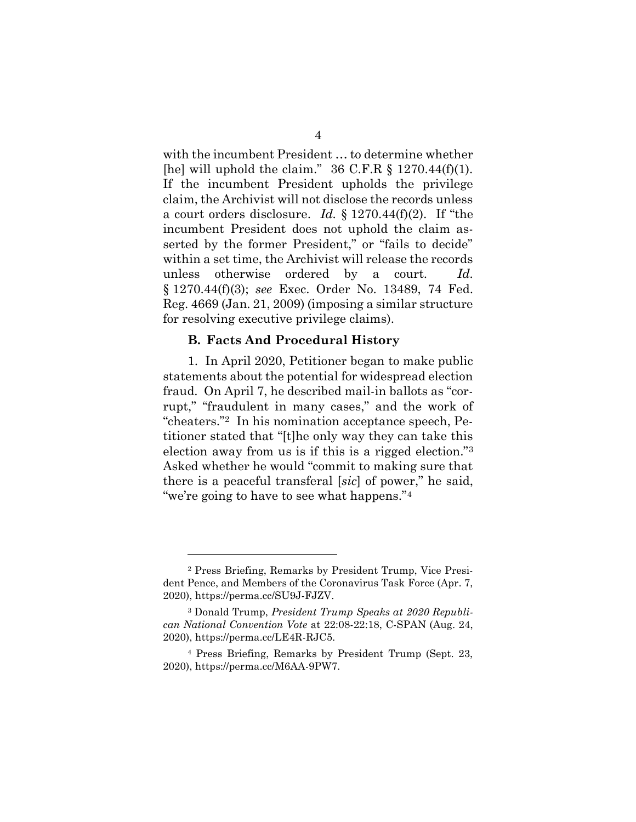[he] will uphold the claim."  $36$  C.F.R § 1270.44(f)(1). claim, the Archivist will not disclose the records unless a court orders disclosure. Id.  $\S 1270.44(f)(2)$ . If "the serted by the former President," or "fails to decide" within a set time, the Archivist will release the records unless otherwise ordered by a court. Id. § 1270.44(f)(3); see Exec. Order No. 13489, 74 Fed. Reg. 4669 (Jan. 21, 2009) (imposing a similar structure for resolving executive privilege claims). the Archivist will not disclose the records<br>t orders disclosure. Id. § 1270.44(f)(2).<br>bent President does not uphold the clar<br>by the former President," or "fails to c<br>a set time, the Archivist will release the r<br>otherwise with the incumbent President … to determine whether If the incumbent President upholds the privilege incumbent President does not uphold the claim as-

#### B. Facts And Procedural History

 1. In April 2020, Petitioner began to make public statements about the potential for widespread election fraud. On April 7, he described mail-in ballots as "cor- rupt," "fraudulent in many cases," and the work of "cheaters."2 In his nomination acceptance speech, Pe- titioner stated that "[t]he only way they can take this election away from us is if this is a rigged election."3 Asked whether he would "commit to making sure that there is a peaceful transferal [sic] of power," he said, 4669 (Jan. 21, 2009) (imposes<br>solving executive privilegers).<br>**B. Facts And Procedura**<br>1. In April 2020, Petitione<br>ements about the potential<br>d. On April 7, he described," "fraudulent in many ca<br>aters."<sup>2</sup> In his nominati er stated that "[t]<br>n away from us<br>whether he wou<br>is a peaceful tran<br>going to have to<br>make the state of the state of the state of the state of the state of the state of the state of the state of the state of the state of t "we're going to have to see what happens."4

 <sup>2</sup> Press Briefing, Remarks by President Trump, Vice Presi- dent Pence, and Members of the Coronavirus Task Force (Apr. 7, Pence, and Members of the Coronavirus Task Force (Apr. 7, 0), https://perma.cc/SU9J-FJZV.<br>3 Donald Trump, *President Trump Speaks at 2020 Republi*-2020), https://perma.cc/SU9J-FJZV.

 can National Convention Vote at 22:08-22:18, C-SPAN (Aug. 24, 2020), https://perma.cc/LE4R-RJC5.

 <sup>4</sup> Press Briefing, Remarks by President Trump (Sept. 23, 2020), https://perma.cc/M6AA-9PW7.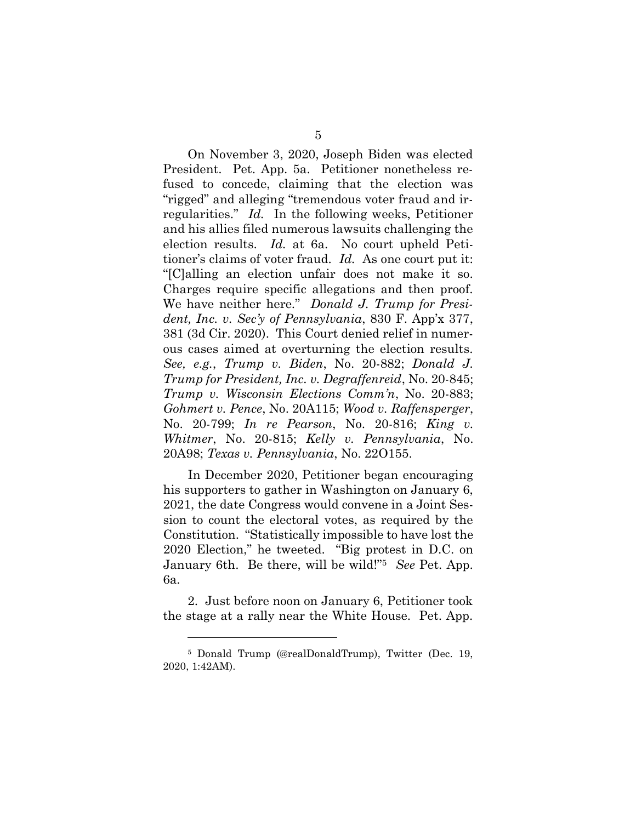On November 3, 2020, Joseph Biden was elected President. Pet. App. 5a. Petitioner nonetheless re- fused to concede, claiming that the election was "rigged" and alleging "tremendous voter fraud and ir- regularities." Id. In the following weeks, Petitioner and his allies filed numerous lawsuits challenging the election results. Id. at 6a. No court upheld Peti- tioner's claims of voter fraud. Id. As one court put it: "[C]alling an election unfair does not make it so. Charges require specific allegations and then proof. We have neither here." Donald J. Trump for Presi- dent, Inc. v. Sec'y of Pennsylvania, 830 F. App'x 377, 381 (3d Cir. 2020). This Court denied relief in numer- ous cases aimed at overturning the election results. See, e.g., Trump v. Biden, No. 20-882; Donald J. Trump for President, Inc. v. Degraffenreid, No. 20-845; Trump v. Wisconsin Elections Comm'n, No. 20-883; Gohmert v. Pence, No. 20A115; Wood v. Raffensperger, No. 20-799; In re Pearson, No. 20-816; King v. Whitmer, No. 20-815; Kelly v. Pennsylvania, No. 20A98; Texas v. Pennsylvania, No. 22O155. On November 3, 2020, Joseph Biden was elsident. Pet. App. 5a. Petitioner nonetheles<br>ed to concede, claiming that the election<br>ged" and alleging "tremendous voter fraud ar<br>ularities."  $Id$ . In the following weeks, Petiti<br>hi have ne<br>  $t$ ,  $Inc.$   $v$ <br>  $(3d Cir.$ <br>  $cases$  a  $e$ ,  $n$ <br>  $e$ ,  $e$ ,  $n$ <br>  $ump$   $v$ . I<br>  $impr$   $v$ . 5<br>
5<br>
10 D. November 3, 2020, Joseph Bident. Pet. App. 5a. Petitioner<br>
1 to concede, claiming that the ed" and alleging "tremendous vot<br>
larities." Id. In the following we<br>
his allies filed numerous lawsuits<br>
ion results.

 In December 2020, Petitioner began encouraging In December 2020, Petitioner began encouraging<br>his supporters to gather in Washington on January 6, 2021, the date Congress would convene in a Joint Session to count the electoral votes, as required by the Constitution. "Statistically impossible to have lost the sion to count the electoral votes, as required by the Constitution. "Statistically impossible to have lost the 2020 Election," he tweeted. "Big protest in D.C. on n," he tweeted.<br>Be there, will<br>pefore noon on J January 6th. Be there, will be wild!"<sup>5</sup> See Pet. App. 6a.

 2. Just before noon on January 6, Petitioner took the stage at a rally near the White House. Pet. App.

 <sup>5</sup> Donald Trump (@realDonaldTrump), Twitter (Dec. 19, 2020, 1:42AM).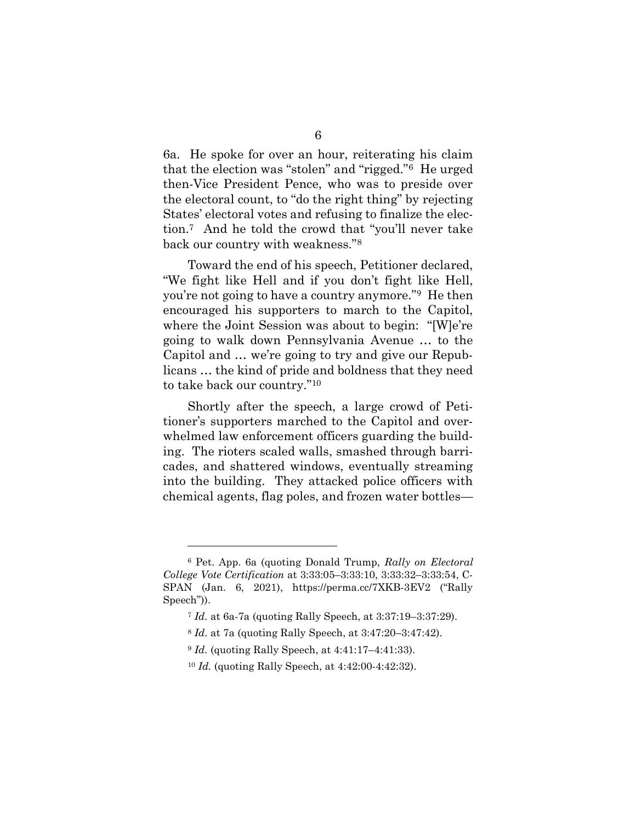6a. He spoke for over an hour, reiterating his claim that the election was "stolen" and "rigged."6 He urged then-Vice President Pence, who was to preside over the electoral count, to "do the right thing" by rejecting States' electoral votes and refusing to finalize the elec-6a. He spoke for over an hour, reiterating his claim<br>that the election was "stolen" and "rigged." $6$  He urged<br>then-Vice President Pence, who was to preside over<br>the electoral count, to "do the right thing" by rejecting<br>St back our country with weakness."8

 Toward the end of his speech, Petitioner declared, you're not going to have a country anymore."<sup>9</sup> He then encouraged his supporters to march to the Capitol, where the Joint Session was about to begin: "[W]e're going to walk down Pennsylvania Avenue … to the Capitol and … we're going to try and give our Repub- licans … the kind of pride and boldness that they need to take back our country."10 our country wit<br>Toward the end<br>fight like Hell<br>re not going to hay<br>uraged his supple "We fight like Hell and if you don't fight like Hell,

 Shortly after the speech, a large crowd of Peti- tioner's supporters marched to the Capitol and over- whelmed law enforcement officers guarding the build- ing. The rioters scaled walls, smashed through barricades, and shattered windows, eventually streaming<br>into the building. They attacked police officers with into the building. They attacked police officers with chemical agents, flag poles, and frozen water bottles o walk down Pennsylv<br>and ... we're going to t<br>.. the kind of pride and<br>back our country."<sup>10</sup><br>ortly after the speech,<br>supporters marched to<br>ed law enforcement office<br>ne rioters scaled walls, 

<sup>&</sup>lt;sup>6</sup> Pet. App. 6a (quoting Donald Trump, Rally on Electoral College Vote Certification at 3:33:05–3:33:10, 3:33:32–3:33:54, C- Speech")). e Vo<br>(J)<br>h")).<br>Id. SPAN (Jan. 6, 2021), https://perma.cc/7XKB-3EV2 ("Rally

 <sup>7</sup> Id. at 6a-7a (quoting Rally Speech, at 3:37:19–3:37:29).

 $8$  Id. at 7a (quoting Rally Speech, at  $3:47:20-3:47:42$ ).

 $9$  Id. (quoting Rally Speech, at  $4:41:17-4:41:33$ ).

<sup>10</sup> Id. (quoting Rally Speech, at 4:42:00-4:42:32).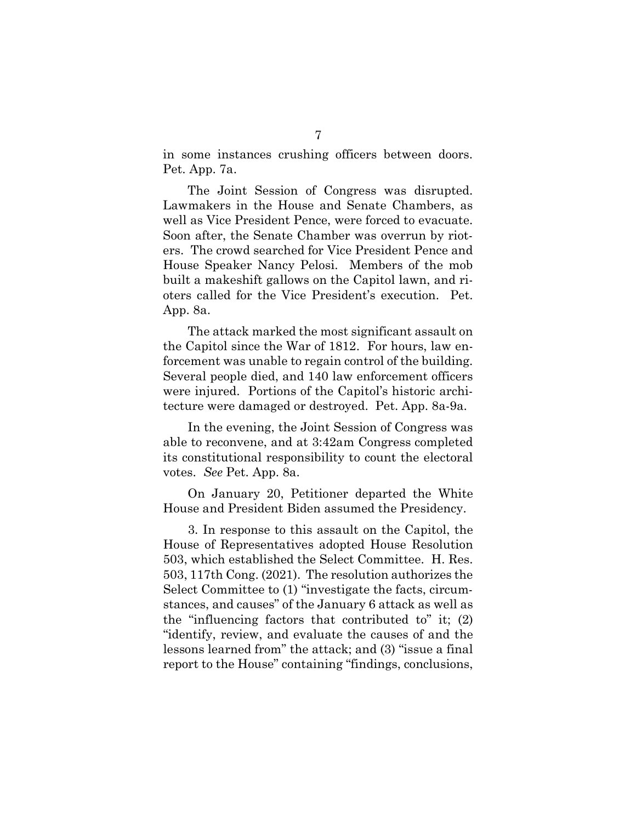in some instances crushing officers between doors. Pet. App. 7a. The Joint Session of Congress was disrupted.<br>The Joint Session of Congress was disrupted.

 Lawmakers in the House and Senate Chambers, as well as Vice President Pence, were forced to evacuate. Soon after, the Senate Chamber was overrun by riot-Lawmakers in the House and Senate Chambers, as<br>well as Vice President Pence, were forced to evacuate.<br>Soon after, the Senate Chamber was overrun by riot-<br>ers. The crowd searched for Vice President Pence and House Speaker Nancy Pelosi. Members of the mob built a makeshift gallows on the Capitol lawn, and ri- oters called for the Vice President's execution. Pet. App. 8a.

 The attack marked the most significant assault on the Capitol since the War of 1812. For hours, law en- forcement was unable to regain control of the building. Several people died, and 140 law enforcement officers were injured. Portions of the Capitol's historic archi- tecture were damaged or destroyed. Pet. App. 8a-9a. Soler Nancy Pelosi.<br>
Follows on the scalled for the Vice Preside<br>
Soles and the Vice Preside<br>
Sa.<br>
The attack marked the most<br>
Capitol since the War of 181:<br>
The attack marked the most<br>
Capitol since the War of 181:<br>
The m

In the evening, the Joint Session of Congress was<br>to reconvene, and at 3:42am Congress completed<br>onstitutional responsibility to count the electoral<br>s. See Pet. App. 8a.<br>On January 20, Petitioner departed the White able to reconvene, and at 3:42am Congress completed votes. See Pet. App. 8a. its constitutional responsibility to count the electoral

 On January 20, Petitioner departed the White House and President Biden assumed the Presidency.

 House of Representatives adopted House Resolution 503, which established the Select Committee. H. Res. 503, 117th Cong. (2021). The resolution authorizes the stances, and causes" of the January 6 attack as well as "identify, review, and evaluate the causes of and the lessons learned from" the attack; and (3) "issue a final report to the House" containing "findings, conclusions,se and President Bider<br>3. In response to this<br>se of Representatives<br>which established the<br>117th Cong. (2021). Tl<br>ct Committee to (1) "in<br>ces, and causes" of the 7<br>
e instances crushing of<br>
p. 7a.<br>
e Joint Session of Con<br>
kers in the House and<br>
Vice President Pence, we<br>
fter, the Senate Chambe<br>
e crowd searched for Vic<br>
Speaker Nancy Pelosi.<br>
makeshift gallows on the<br>
alled for the 3. In response to this assault on the Capitol, the Select Committee to (1) "investigate the facts, circumthe "influencing factors that contributed to" it; (2)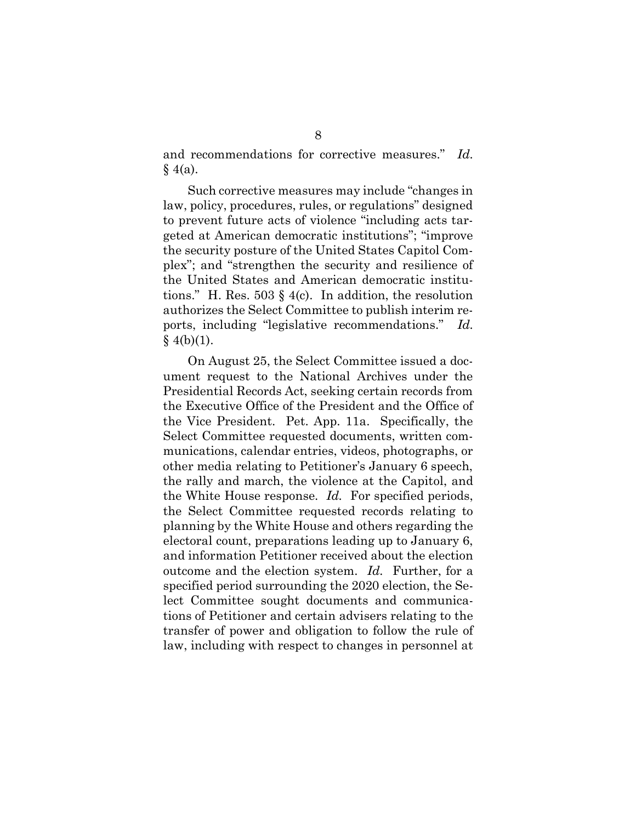and recommendations for corrective measures." Id. recommendations for corrective measures." Id.<br>a). Such corrective measures may include "changes in  $§$  4(a).

 law, policy, procedures, rules, or regulations" designed geted at American democratic institutions"; "improve plex"; and "strengthen the security and resilience of the United States and American democratic institutions." H. Res. 503  $\S$  4(c). In addition, the resolution ports, including "legislative recommendations." Id.  $§ 4(b)(1).$ policy, procedures, rules, or regulations"<br>revent future acts of violence "including<br>d at American democratic institutions";<br>security posture of the United States Cap<br>"; and "strengthen the security and res<br>United States a to prevent future acts of violence "including acts tarthe security posture of the United States Capitol Comauthorizes the Select Committee to publish interim re-

<span id="page-14-0"></span> On August 25, the Select Committee issued a doc- ument request to the National Archives under the Presidential Records Act, seeking certain records from the Vice President. Pet. App. 11a. Specifically, the Select Committee requested documents, written com- munications, calendar entries, videos, photographs, or other media relating to Petitioner's January 6 speech, Select Committee requested documents, written communications, calendar entries, videos, photographs, or other media relating to Petitioner's January 6 speech, the rally and march, the violence at the Capitol, and the White House response. Id. For specified periods, the Select Committee requested records relating to j electoral count, preparations leading up to January 6, and information Petitioner received about the election outcome and the election system. Id. Further, for a specified period surrounding the 2020 election, the Se- lect Committee sought documents and communica- tions of Petitioner and certain advisers relating to the transfer of power and obligation to follow the rule of law, including with respect to changes in personnel at Records<br>e Office<br>esident. ct Committee requested<br>the White House and<br>count, preparations leading<br>mation Petitioner receive<br>and the election system.<br>period surrounding the 2 8<br>
8<br>
Inommendations for corrective<br>
h corrective measures may in<br>
they, procedures, rules, or regiont future acts of violence "ii<br>
American democratic institutive posture of the United St<br>
and "strengthen the security<br>
t the Executive Office of the President and the Office of planning by the White House and others regarding the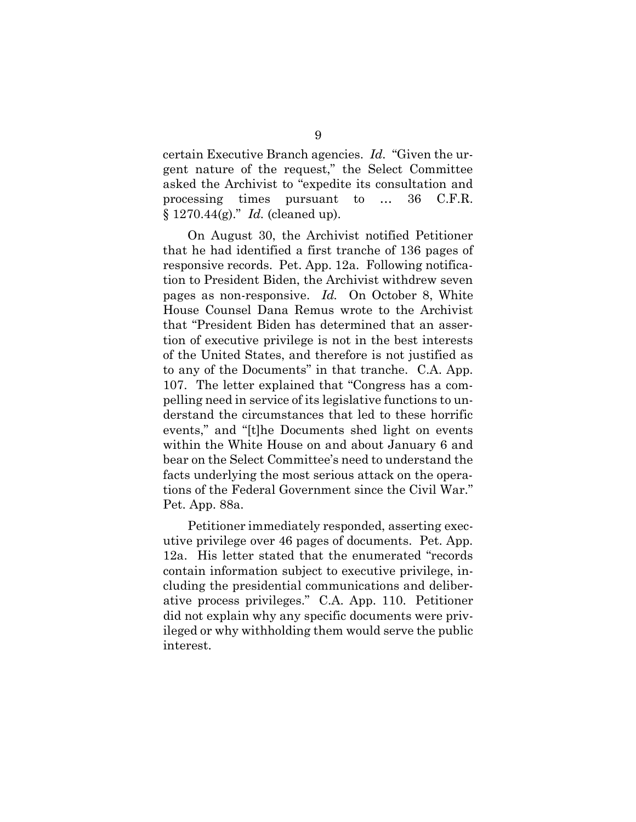certain Executive Branch agencies. Id. "Given the ur- asked the Archivist to "expedite its consultation and  $§ 1270.44(g).$ " *Id.* (cleaned up). agencies. *Id.* "Given the usest," the Select Commission gent nature of the request," the Select Committee processing times pursuant to … 36 C.F.R.

 On August 30, the Archivist notified Petitioner that he had identified a first tranche of 136 pages of responsive records. Pet. App. 12a. Following notifica- tion to President Biden, the Archivist withdrew seven responsive records. Pet. App. 12a. Following notification to President Biden, the Archivist withdrew seven<br>pages as non-responsive. *Id*. On October 8, White House Counsel Dana Remus wrote to the Archivist that "President Biden has determined that an asser- tion of executive privilege is not in the best interests of the United States, and therefore is not justified as 107. The letter explained that "Congress has a com- pelling need in service of its legislative functions to un- derstand the circumstances that led to these horrific within the White House on and about January 6 and bear on the Select Committee's need to understand the facts underlying the most serious attack on the opera- Pet. App. 88a. Counsel Dana Remus wrote to the<br>President Biden has determined that<br>Consider it is not in the bes<br>United States, and therefore is not j<br>of the Documents" in that tranche.<br>The letter explained that "Congress I ng need in service of its legisla<br>tand the circumstances that<br>ts," and "[t]he Documents s<br>in the White House on and a<br>on the Select Committee's nee<br>sunderlying the most serious 9 to any of the Documents" in that tranche. C.A. App. events," and "[t]he Documents shed light on events

tions of the Federal Government since the Civil War."<br>Pet. App. 88a.<br>Petitioner immediately responded, asserting exec-<br>utive privilege over 46 pages of documents. Pet. App.<br>12a. His letter stated that the enumerated "recor utive privilege over 46 pages of documents. Pet. App. 12a. His letter stated that the enumerated "records cluding the presidential communications and deliber- ative process privileges." C.A. App. 110. Petitioner did not explain why any specific documents were priv- ileged or why withholding them would serve the public Petitioner immediately responded, asserting execcontain information subject to executive privilege, ininterest.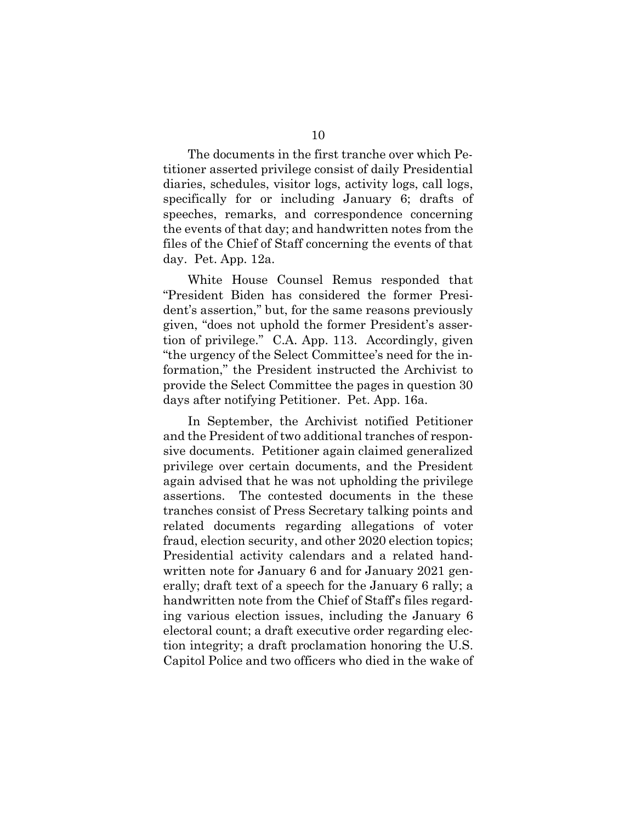The documents in the first tranche over which Pe- titioner asserted privilege consist of daily Presidential The documents in the first tranche over which Petitioner asserted privilege consist of daily Presidential<br>diaries, schedules, visitor logs, activity logs, call logs, specifically for or including January 6; drafts of speeches, remarks, and correspondence concerning the events of that day; and handwritten notes from the day. Pet. App. 12a. ifically for or in<br>ches, remarks, a<br>events of that day;<br>of the Chief of Sta<br>Pet. App. 12a.<br>White House Co<br>sident Biden has<br>'s assertion," but, files of the Chief of Staff concerning the events of that

 White House Counsel Remus responded that "President Biden has considered the former Presi- dent's assertion," but, for the same reasons previously given, "does not uphold the former President's asser- tion of privilege." C.A. App. 113. Accordingly, given "the urgency of the Select Committee's need for the in- provide the Select Committee the pages in question 30 days after notifying Petitioner. Pet. App. 16a. n, "does not uphold the former Preside<br>of privilege." C.A. App. 113. Accordin<br>urgency of the Select Committee's need<br>ation," the President instructed the A<br>ide the Select Committee the pages in c<br>after notifying Petitioner formation," the President instructed the Archivist to

 In September, the Archivist notified Petitioner and the President of two additional tranches of respon- sive documents. Petitioner again claimed generalized privilege over certain documents, and the President again advised that he was not upholding the privilege assertions. related documents regarding allegations of voter<br>fraud, election security, and other 2020 election topics;<br>Presidential activity calendars and a related hand- fraud, election security, and other 2020 election topics; Presidential activity calendars and a related hand- written note for January 6 and for January 2021 gen- erally; draft text of a speech for the January 6 rally; a handwritten note from the Chief of Staff's files regard- ing various election issues, including the January 6 electoral count; a draft executive order regarding elec- tion integrity; a draft proclamation honoring the U.S. Capitol Police and two officers who died in the wake of assertions. The contested documents in the these 10<br>10<br>10<br>The documents in the first tranche over<br>the comer asserted privilege consist of daily<br>ies, schedules, visitor logs, activity log<br>ifically for or including January (<br>eches, remarks, and correspondence<br>events of th tranches consist of Press Secretary talking points and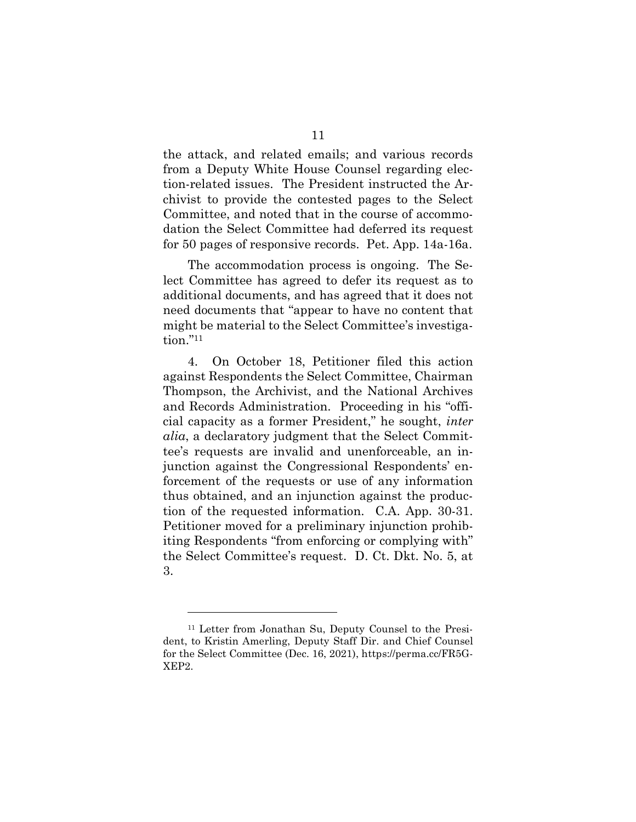the attack, and related emails; and various records from a Deputy White House Counsel regarding elec- tion-related issues. The President instructed the Ar- chivist to provide the contested pages to the Select Committee, and noted that in the course of accommo- dation the Select Committee had deferred its request for 50 pages of responsive records. Pet. App. 14a-16a. e attack, and related emails; and various<br>m a Deputy White House Counsel regardi<br>n-related issues. The President instructed<br>vist to provide the contested pages to the<br>mmittee, and noted that in the course of ac<br>tion the Se

 The accommodation process is ongoing. The Se- lect Committee has agreed to defer its request as to additional documents, and has agreed that it does not tion."11 need documents that "appear to have no content that might be material to the Select Committee's investiga-

4. against Respondents the Select Committee, Chairman Thompson, the Archivist, and the National Archives and Records Administration. Proceeding in his "offi- cial capacity as a former President," he sought, inter tee's requests are invalid and unenforceable, an in- forcement of the requests or use of any information tion of the requested information. C.A. App. 30-31. Petitioner moved for a preliminary injunction prohib- iting Respondents "from enforcing or complying with" the Select Committee's request. D. Ct. Dkt. No. 5, at capacity as a former President<br>  $u$ , a declaratory judgment that the<br>
s requests are invalid and une<br>
ction against the Congressional<br>
sement of the requests or use of<br>
s obtained, and an injunction as<br>
of the requested i moved for a preliminary in<br>ondents "from enforcing or<br>Committee's request. D. C<br>or from Jonathan Su, Deputy Co 11 4. On October 18, Petitioner filed this action alia, a declaratory judgment that the Select Commitjunction against the Congressional Respondents' enthus obtained, and an injunction against the produc-3.

 <sup>11</sup> Letter from Jonathan Su, Deputy Counsel to the Presi- dent, to Kristin Amerling, Deputy Staff Dir. and Chief Counsel for the Select Committee (Dec. 16, 2021), https://perma.cc/FR5G-XEP2.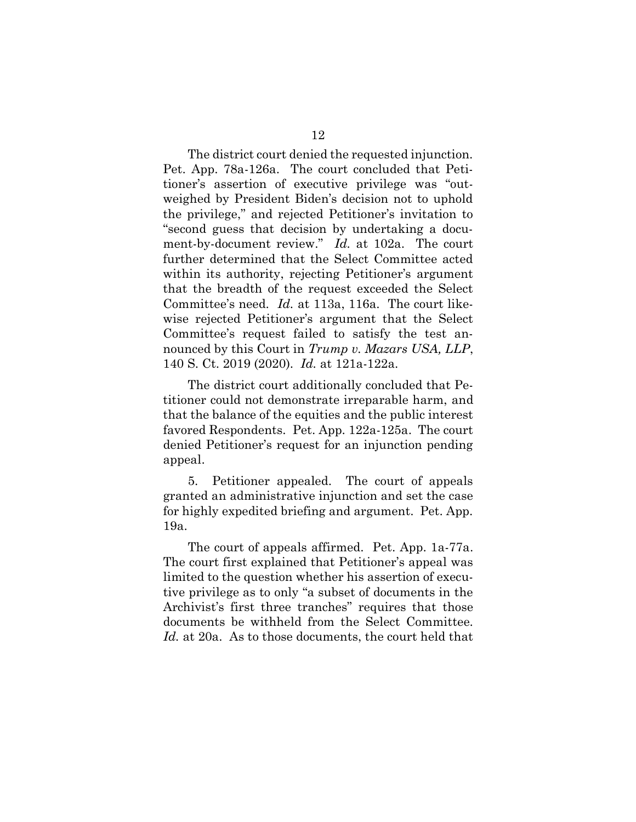The district court denied the requested injunction. tioner's assertion of executive privilege was "outweighed by President Biden's decision not to uphold<br>the privilege," and rejected Petitioner's invitation to<br>"second guess that decision by undertaking a docu-<br>ment-by-document review." Id. at 102a. The court the privilege," and rejected Petitioner's invitation to "second guess that decision by undertaking a document-by-document review." Id. at 102a. The court within its authority, rejecting Petitioner's argument Committee's need. Id. at 113a, 116a. The court like- Committee's request failed to satisfy the test announced by this Court in Trump v. Mazars USA, LLP, 140 S. Ct. 2019 (2020). Id. at 121a-122a. The district court<br>App. 78a-126a.<br>er's assertion of Pet. App. 78a-126a. The court concluded that Petifurther determined that the Select Committee acted that the breadth of the request exceeded the Select wise rejected Petitioner's argument that the Select

 titioner could not demonstrate irreparable harm, and that the balance of the equities and the public interest favored Respondents. Pet. App. 122a-125a. The court denied Petitioner's request for an injunction pending mmittee's need.  $Id$ . at 113a,<br>e rejected Petitioner's argu<br>mmittee's request failed to<br>nced by this Court in  $Trum_l$ <br>S. Ct. 2019 (2020).  $Id$ . at 1<br>The district court additions<br>oner could not demonstrate<br>t the balance of the The district court additionally concluded that Peappeal.

 $5.$  granted an administrative injunction and set the case for highly expedited briefing and argument. Pet. App. 5. Petitioner appealed. The court of appeals 19a.

 The court first explained that Petitioner's appeal was limited to the question whether his assertion of execu- Archivist's first three tranches" requires that those Id. at 20a. As to those documents, the court held that ing and<br>affirme<br>that Pe ited to the question<br>e privilege as to only<br>chivist's first three<br>cuments be withhele<br>at 20a. As to those The court of appeals affirmed. Pet. App. 1a-77a. tive privilege as to only "a subset of documents in the documents be withheld from the Select Committee.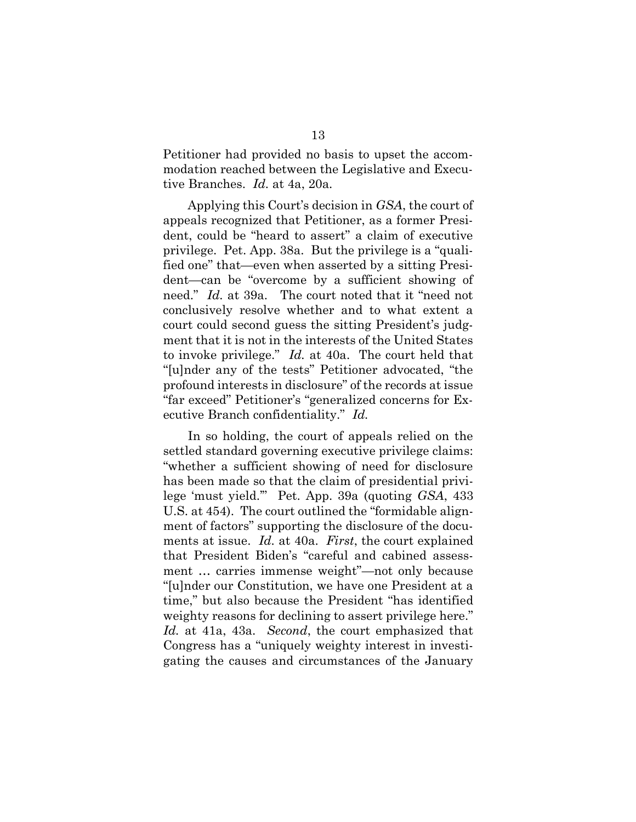Petitioner had provided no basis to upset the accomtive Branches. Id. at 4a, 20a. r had provided<br>reached betwee<br>ches. Id. at 4a, modation reached between the Legislative and Execu-

 Applying this Court's decision in GSA, the court of appeals recognized that Petitioner, as a former Presi- privilege. Pet. App. 38a. But the privilege is a "quali- fied one" that—even when asserted by a sitting Presi- dent—can be "overcome by a sufficient showing of need." Id. at 39a. The court noted that it "need not conclusively resolve whether and to what extent a court could second guess the sitting President's judg- ment that it is not in the interests of the United States to invoke privilege." Id. at 40a. The court held that profound interests in disclosure" of the records at issue "far exceed" Petitioner's "generalized concerns for Executive Branch confidentiality." Id. Applying this Co<br>als recognized tl<br>could be "hear<br>lege. Pet. App. 3<br>me" that—even<br>—can be "overc" Id. at 39a. usively resolve whether and to w<br>could second guess the sitting Pre<br>that it is not in the interests of the<br>voke privilege."  $Id$ . at 40a. The co<br>der any of the tests" Petitioner ad<br>und interests in disclosure" of the re<br>xc dent, could be "heard to assert" a claim of executive "[u]nder any of the tests" Petitioner advocated, "the

 In so holding, the court of appeals relied on the settled standard governing executive privilege claims: "whether a sufficient showing of need for disclosure has been made so that the claim of presidential privi- lege 'must yield.'" Pet. App. 39a (quoting GSA, 433 U.S. at 454). The court outlined the "formidable alignments at issue. Id. at 40a. First, the court explained that President Biden's "careful and cabined assess- ment … carries immense weight"—not only because "[u]nder our Constitution, we have one President at a time," but also because the President "has identified weighty reasons for declining to assert privilege here." Id. at 41a, 43a. Second, the court emphasized that Congress has a "uniquely weighty interest in investi- gating the causes and circumstances of the January at<br>t o<br>ts 13 ment of factors" supporting the disclosure of the docu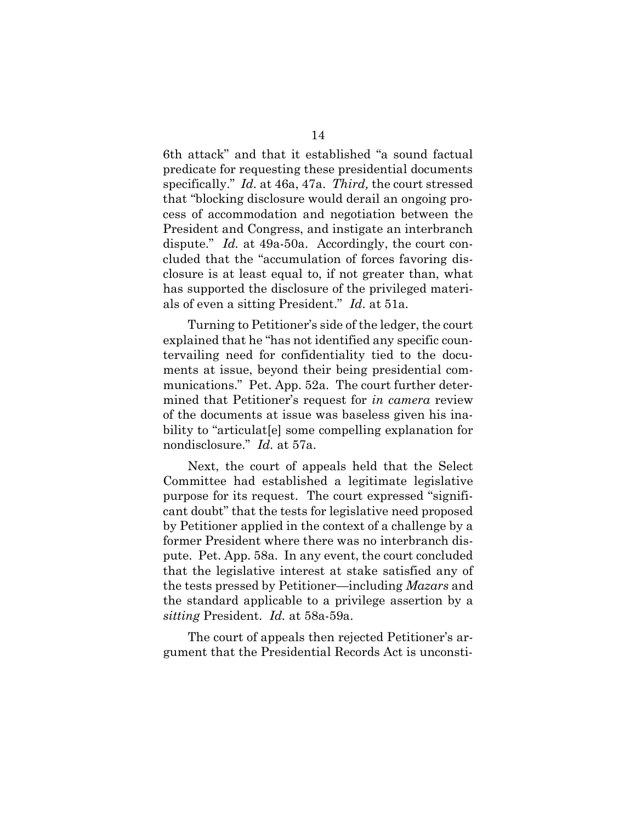6th attack" and that it established "a sound factual predicate for requesting these presidential documents 6th attack" and that it established "a sound factual<br>predicate for requesting these presidential documents<br>specifically." Id. at 46a, 47a. Third, the court stressed that "blocking disclosure would derail an ongoing process of accommodation and negotiation between the President and Congress, and instigate an interbranch dispute."  $Id$ . at 49a-50a. Accordingly, the court con- cess of accommodation and negotiation between the President and Congress, and instigate an interbranch dispute." Id. at 49a-50a. Accordingly, the court con- cluded that the "accumulation of forces favoring dis- has supported the disclosure of the privileged materials of even a sitting President." Id. at 51a. ded that the "accumulation"<br>"ure is at least equal to, if r<br>"supported the disclosure of 14<br>
and that it estab<br>
requesting these<br> *Id.* at 46a, 47a.<br>
disclosure woul<br>
modation and r<br>
Congress, and i<br>
at 49a-50a. Acc<br>
ne "accumulatio<br>
east equal to, if<br>
l the disclosure<br>
itting President<br>
o Petitioner's sic<br>
t closure is at least equal to, if not greater than, what

 explained that he "has not identified any specific coun- tervailing need for confidentiality tied to the docu- ments at issue, beyond their being presidential com- munications." Pet. App. 52a. The court further deter- mined that Petitioner's request for in camera review of the documents at issue was baseless given his ina-<br>bility to "articulat[e] some compelling explanation for<br>nondisclosure."  $Id.$  at 57a. bility to "articulat[e] some compelling explanation for nondisclosure." Id. at 57a. of even a sitting President."  $Id$ . at 51a.<br>Turning to Petitioner's side of the ledger,<br>plained that he "has not identified any spec<br>vailing need for confidentiality tied to t<br>nts at issue, beyond their being presiden<br>inic Turning to Petitioner's side of the ledger, the court

 Next, the court of appeals held that the Select purpose for its request. The court expressed "signifi- cant doubt" that the tests for legislative need proposed former President where there was no interbranch dis- pute. Pet. App. 58a. In any event, the court concluded the tests pressed by Petitioner—including Mazars and the standard applicable to a privilege assertion by a sitting President. Id. at 58a-59a. Next, the court of appeals<br>mittee had established a<br>ose for its request. The cou<br>doubt" that the tests for legi<br>etitioner applied in the conter<br>President where there wa<br>Pet. App. 58a. In any even<br>the legislative interest a Committee had established a legitimate legislative by Petitioner applied in the context of a challenge by a that the legislative interest at stake satisfied any of

 The court of appeals then rejected Petitioner's ar-gument that the Presidential Records Act is unconsti-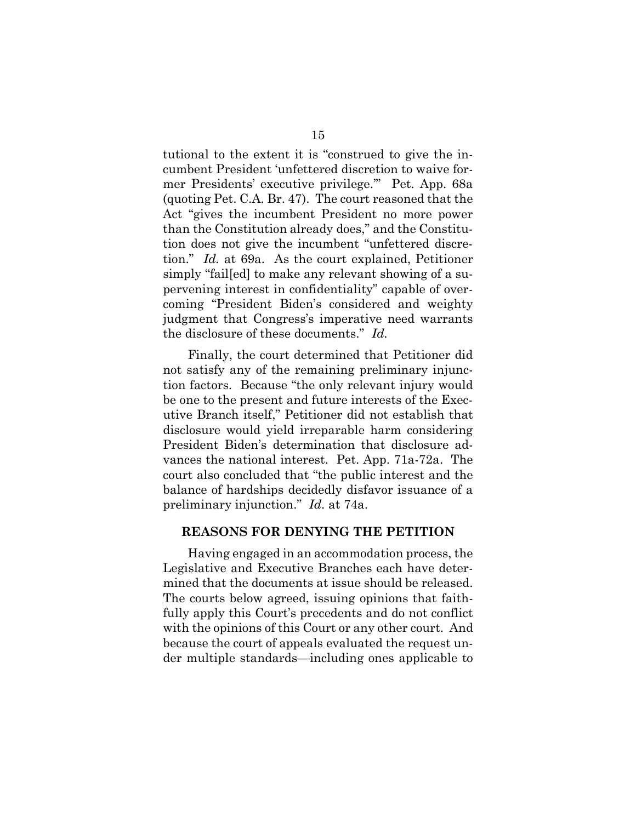tutional to the extent it is "construed to give the in- cumbent President 'unfettered discretion to waive fortutional to the extent it is "construed to give the in-<br>cumbent President 'unfettered discretion to waive for-<br>mer Presidents' executive privilege.'" Pet. App. 68a (quoting Pet. C.A. Br. 47). The court reasoned that the Act "gives the incumbent President no more power j tion does not give the incumbent "unfettered discre- tion." Id. at 69a. As the court explained, Petitioner coming "President Biden's considered and weighty the disclosure of these documents." Id. oting Pet. C.A. Br. 47). The court reas<br>"gives the incumbent President no<br>n the Constitution already does," and<br>n does not give the incumbent "unfet<br>n." Id. at 69a. As the court explaine 15<br>15<br>15<br>15<br>16 mal to the extent it is "construce<br>Presidents" executive privilege.<br>
img Pet. C.A. Br. 47). The court of<br>
"gives the incumbent President<br>
does not give the incumbent "exident<br>
does not give the incumbent "w than the Constitution already does," and the Constitusimply "fail[ed] to make any relevant showing of a supervening interest in confidentiality" capable of overjudgment that Congress's imperative need warrants

 Finally, the court determined that Petitioner did tion factors. Because "the only relevant injury would be one to the present and future interests of the Exec- utive Branch itself," Petitioner did not establish that President Biden's determination that disclosure ad- vances the national interest. Pet. App. 71a-72a. The court also concluded that "the public interest and the balance of hardships decidedly disfavor issuance of a balance of hardships decidedly disf<br>preliminary injunction." *Id*. at 74a. ing "President Biden's considered and weight that Congress's imperative need warra<br>disclosure of these documents."  $Id$ .<br>Finally, the court determined that Petitioner<br>satisfy any of the remaining preliminary inju<br>factors. not satisfy any of the remaining preliminary injuncdisclosure would yield irreparable harm considering

#### REASONS FOR DENYING THE PETITION

 Having engaged in an accommodation process, the Legislative and Executive Branches each have deter- mined that the documents at issue should be released. The courts below agreed, issuing opinions that faith- fully apply this Court's precedents and do not conflict with the opinions of this Court or any other court. And because the court of appeals evaluated the request under multiple standards—including ones applicable to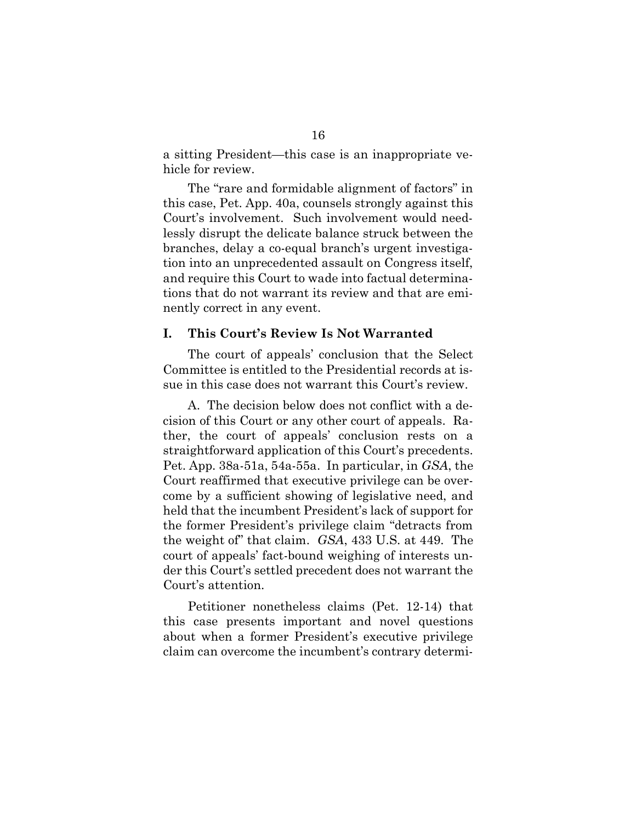a sitting President—this case is an inappropriate ve-hicle for review.

 this case, Pet. App. 40a, counsels strongly against this a sitting President—this case is an inappropriate ve-<br>hicle for review.<br>The "rare and formidable alignment of factors" in<br>this case, Pet. App. 40a, counsels strongly against this<br>Court's involvement. Such involvement would lessly disrupt the delicate balance struck between the<br>branches, delay a co-equal branch's urgent investiga-<br>tion into an unprecedented assault on Congress itself,<br>and require this Court to wade into factual determina-<br>tio branches, delay a co-equal branch's urgent investiga- tion into an unprecedented assault on Congress itself, tions that do not warrant its review and that are emi- nently correct in any event. The "rare and formidable alignment of factors" in and require this Court to wade into factual determina-

#### I. This Court's Review Is Not Warranted

ily correct in any event.<br>This Court's Review Is Not Warranted<br>The court of appeals' conclusion that the Select Committee is entitled to the Presidential records at is- sue in this case does not warrant this Court's review. mittee is entitled to the Presidential records at is-<br>in this case does not warrant this Court's review.<br>A. The decision below does not conflict with a de-

 cision of this Court or any other court of appeals. Ra- ther, the court of appeals' conclusion rests on a straightforward application of this Court's precedents. Pet. App. 38a-51a, 54a-55a. In particular, in GSA, the Court reaffirmed that executive privilege can be over- held that the incumbent President's lack of support for the former President's privilege claim "detracts from the weight of" that claim. GSA, 433 U.S. at 449. The court of appeals' fact-bound weighing of interests under this Court's settled precedent does not warrant the<br>Court's attention.<br>Petitioner nonetheless claims (Pet. 12-14) that Court's attention. ightforward application of this Court's precede<br>App. 38a-51a, 54a-55a. In particular, in *GSA*,<br>rt reaffirmed that executive privilege can be o<br>e by a sufficient showing of legislative need,<br>l that the incumbent President' 16<br>16<br>sident—this case is an i<br>iew.<br>re and formidable alignn<br>t. App. 40a, counsels stro<br>ivement. Such involven<br>ot the delicate balance st<br>unprecedented assault of<br>this Court to wade into fa<br>induced assault of<br>this Court to come by a sufficient showing of legislative need, and

 Petitioner nonetheless claims (Pet. 12-14) that this case presents important and novel questions about when a former President's executive privilege claim can overcome the incumbent's contrary determi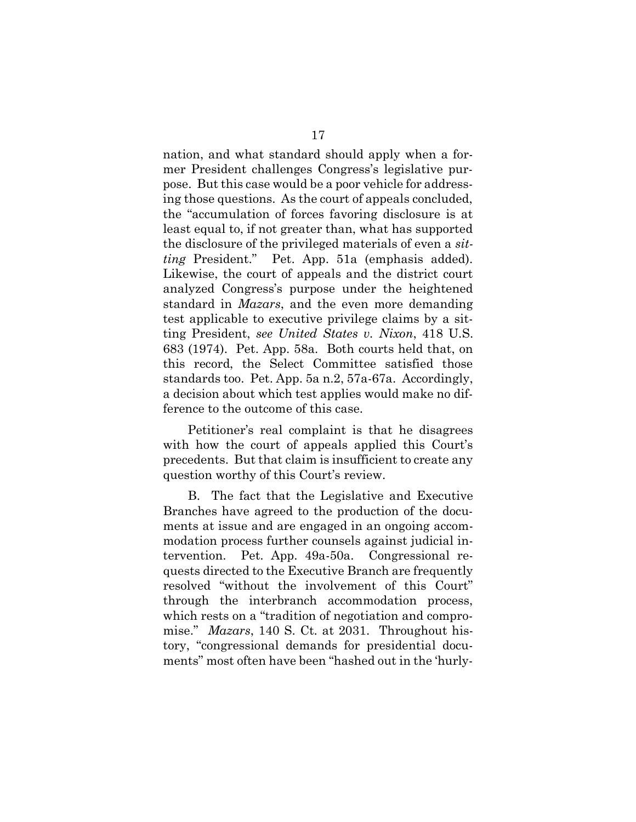nation, and what standard should apply when a for- pose. But this case would be a poor vehicle for address- ing those questions. As the court of appeals concluded, the "accumulation of forces favoring disclosure is at least equal to, if not greater than, what has supported the disclosure of the privileged materials of even a sit- Likewise, the court of appeals and the district court analyzed Congress's purpose under the heightened standard in *Mazars*, and the even more demanding ting President, see United States v. Nixon, 418 U.S. 683 (1974). Pet. App. 58a. Both courts held that, on this record, the Select Committee satisfied those j a decision about which test applies would make no dif- ference to the outcome of this case. n,<br>Pro<br>B questions. As the cound<br>mulation of forces fail to, if not greater that<br>sure of the privileged<br>ident." Pet. App. 5<br>the court of appeals<br>Congress's purpose in *Mazars*, and the even n<br>icable to executive privilege<br>sident, *see United States v.*  $(1974)$ <br>recor<br>ndards<br>ecision 17<br>standard<br>allenges C<br>e would be<br>s. As the c<br>ot greater<br>he privileg<br>Pet. App<br>rt of appe<br>ss's purpos<br>ss's purpos<br>ss's purpos<br>ss's purpos<br>ss's purpos<br>ss's purpos<br>ss's purpos<br>ss's contineed in executive<br>e United .<br>App. 58a. mer President challenges Congress's legislative purting President." Pet. App. 51a (emphasis added). test applicable to executive privilege claims by a sitstandards too. Pet. App. 5a n.2, 57a-67a. Accordingly,

nce to the outcome of this case.<br>Petitioner's real complaint is that he disagrees with how the court of appeals applied this Court's<br>precedents. But that claim is insufficient to create any<br>question worthy of this Court's review. precedents. But that claim is insufficient to create any question worthy of this Court's review.

 B. The fact that the Legislative and Executive ments at issue and are engaged in an ongoing accom- modation process further counsels against judicial intervention. through the interbranch accommodation process, mise." Mazars, 140 S. Ct. at 2031. Throughout his- tory, "congressional demands for presidential docu- ments" most often have been "hashed out in the 'hurlyion process further counsels against jution. Pet. App. 49a-50a. Congress<br>s directed to the Executive Branch are fied "without the involvement of thingh the interbranch accommodation rests on a "tradition of negotiation and Branches have agreed to the production of the docu-Pet. App. 49a-50a. Congressional requests directed to the Executive Branch are frequently resolved "without the involvement of this Court" which rests on a "tradition of negotiation and compro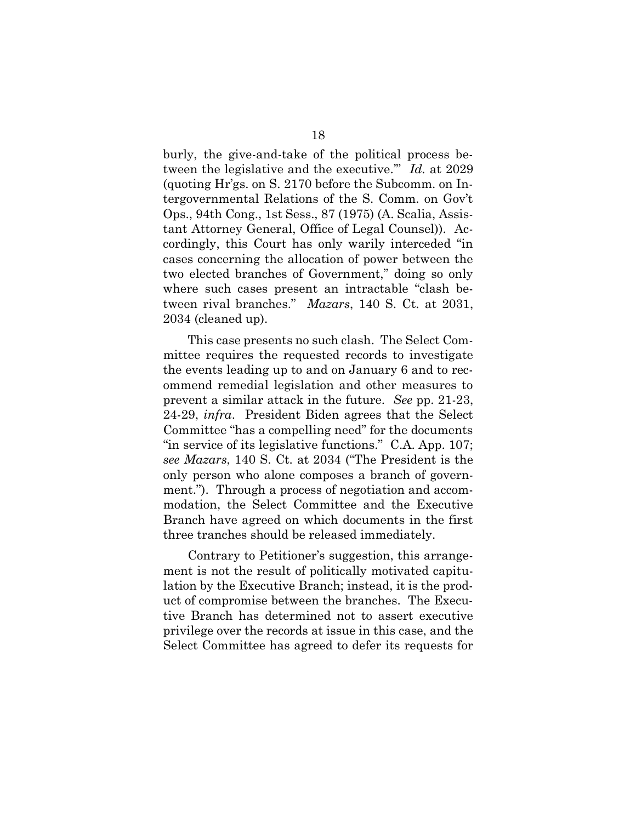burly, the give-and-take of the political process be- (quoting Hr'gs. on S. 2170 before the Subcomm. on Intergovernmental Relations of the S. Comm. on Gov't<br>Ops., 94th Cong., 1st Sess., 87 (1975) (A. Scalia, Assis-<br>tant Attorney General, Office of Legal Counsel)). Ac-<br>cordingly, this Court has only warily interceded "in<br>cases Ops., 94th Cong., 1st Sess., 87 (1975) (A. Scalia, Assis- tant Attorney General, Office of Legal Counsel)). Ac- cordingly, this Court has only warily interceded "in cases concerning the allocation of power between the two elected branches of Government," doing so only where such cases present an intractable "clash between rival branches." Mazars, 140 S. Ct. at 2031, 2034 (cleaned up). e-and-take of the political<br>slative and the executive."<br>on S. 2170 before the Subc tween the legislative and the executive." Id. at 2029

 This case presents no such clash. The Select Com- mittee requires the requested records to investigate the events leading up to and on January 6 and to rec- ommend remedial legislation and other measures to prevent a similar attack in the future. See pp. 21-23, 24-29, *infra*. President Biden agrees that the Select "in service of its legislative functions." C.A. App. 107; see Mazars, 140 S. Ct. at 2034 ("The President is the only person who alone composes a branch of government."). Through a process of negotiation and accom-<br>modation, the Select Committee and the Executive<br>Branch have agreed on which documents in the first Branch have agreed on which documents in the first three tranches should be released immediately. rival branches." *Mazars*, 140 S. Ct.<br>
(cleaned up).<br>
his case presents no such clash. The Se<br>
e requires the requested records to ir<br>
ents leading up to and on January 6 a<br>
nd remedial legislation and other me<br>
nt a simi 18<br>
also give-and-take of<br>
e legislative and th<br>
Hr'gs. on S. 2170 be<br>
amental Relations of<br>
h Cong., 1st Sess., 8<br>
prney General, Offic<br>
r, this Court has of<br>
acerning the allocat<br>
ted branches of Go<br>
ach cases presents Committee "has a compelling need" for the documents modation, the Select Committee and the Executive

 Contrary to Petitioner's suggestion, this arrange- ment is not the result of politically motivated capitu- lation by the Executive Branch; instead, it is the prod- uct of compromise between the branches. The Execu-Contrary to Petitioner's suggestion, this arrange-<br>ment is not the result of politically motivated capitu-<br>lation by the Executive Branch; instead, it is the prod-<br>uct of compromise between the branches. The Execu-<br>tive Br privilege over the records at issue in this case, and the Select Committee has agreed to defer its requests for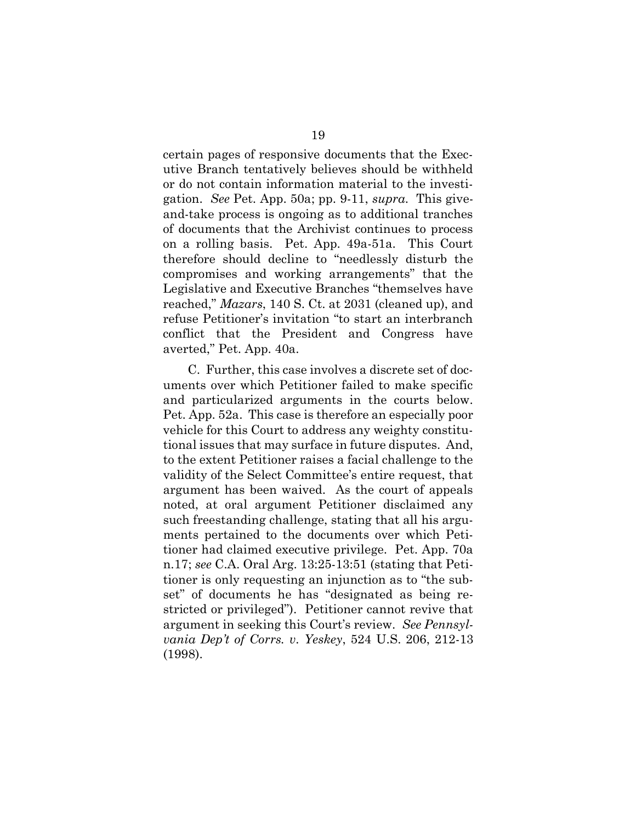certain pages of responsive documents that the Exec- utive Branch tentatively believes should be withheld certain pages of responsive documents that the Executive Branch tentatively believes should be withheld<br>or do not contain information material to the investigation. See Pet. App. 50a; pp. 9-11, supra. This give- and-take process is ongoing as to additional tranches of documents that the Archivist continues to process on a rolling basis. Pet. App. 49a-51a. This Court therefore should decline to "needlessly disturb the Legislative and Executive Branches "themselves have reached," Mazars, 140 S. Ct. at 2031 (cleaned up), and refuse Petitioner's invitation "to start an interbranch conflict that the President and Congress have averted," Pet. App. 40a. See Pet. App. 50a; pp. 9-11, *supra*.<br>ke process is ongoing as to additiona<br>uments that the Archivist continues<br>olling basis. Pet. App. 49a-51a. T<br>re should decline to "needlessly d<br>omises and working arrangements"<br>tive an compromises and working arrangements" that the

 C. Further, this case involves a discrete set of doc- uments over which Petitioner failed to make specific and particularized arguments in the courts below. Pet. App. 52a. This case is therefore an especially poor vehicle for this Court to address any weighty constitu- tional issues that may surface in future disputes. And, to the extent Petitioner raises a facial challenge to the validity of the Select Committee's entire request, that argument has been waived. As the court of appeals<br>noted, at oral argument Petitioner disclaimed any<br>such freestanding challenge, stating that all his argu-<br>ments pertained to the documents over which Peti- noted, at oral argument Petitioner disclaimed any such freestanding challenge, stating that all his argu- ments pertained to the documents over which Peti- tioner had claimed executive privilege. Pet. App. 70a tioner had claimed executive privilege. Pet. App. 70a<br>n.17; see C.A. Oral Arg. 13:25-13:51 (stating that Peti- tioner is only requesting an injunction as to "the subset" of documents he has "designated as being re-<br>stricted or privileged"). Petitioner cannot revive that stricted or privileged"). Petitioner cannot revive that argument in seeking this Court's review. See Pennsyl- vania Dep't of Corrs. v. Yeskey, 524 U.S. 206, 212-13 (1998).ched," *Mazars*, 140 S. Ct. at 2031<br>se Petitioner's invitation "to stantict that the President and<br>ted," Pet. App. 40a.<br>C. Further, this case involves a conts over which Petitioner failed<br>particularized arguments in t<br>App. 19<br>
onsive<br>
vely be<br>
vely be<br>
ormatic<br>
. 50a; p<br>
ngoing<br>
le Arch<br>
Pet. A<sub>l</sub><br>
ngoing<br>
le Arch<br>
Pet. Al<br>
orking<br>
utive B<br>
0 S. Ct.<br>
vitation<br>
Preside<br>
Da.<br>
case invertion<br>
velvition<br>
rgunese is the dock<br>
velvition<br>
ment F<br>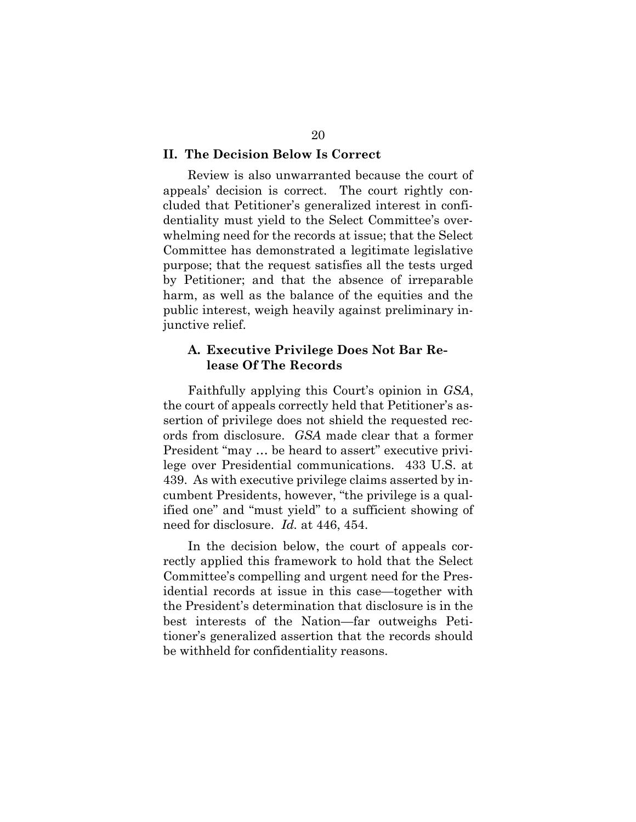#### <span id="page-26-0"></span>II. The Decision Below Is Correct

 Review is also unwarranted because the court of Review is also unwarranted because the court of appeals' decision is correct. The court rightly con- whelming need for the records at issue; that the Select Committee has demonstrated a legitimate legislative purpose; that the request satisfies all the tests urged by Petitioner; and that the absence of irreparable harm, as well as the balance of the equities and the public interest, weigh heavily against preliminary inining need for the records at issue; that<br>intered has demonstrated a legitimate<br>se; that the request satisfies all the t<br>interest, and that the absence of i<br>as well as the balance of the equition<br>interest, weigh heavily ag cluded that Petitioner's generalized interest in confidentiality must yield to the Select Committee's overjunctive relief.

#### A. Executive Privilege Does Not Bar Release Of The Records

 Faithfully applying this Court's opinion in GSA, the court of appeals correctly held that Petitioner's as- ords from disclosure. GSA made clear that a former President "may ... be heard to assert" executive privi-<br>lege over Presidential communications. 433 U.S. at<br>439. As with executive privilege claims asserted by in-<br>cumbent Presidents, however, "the privilege is a qual-<br>ifie lege over Presidential communications. 433 U.S. at 439. As with executive privilege claims asserted by in- cumbent Presidents, however, "the privilege is a qual- ified one" and "must yield" to a sufficient showing of need for disclosure. Id. at 446, 454. sertion of privilege does not shield the requested rec-

 In the decision below, the court of appeals cor- rectly applied this framework to hold that the Select idential records at issue in this case—together with the President's determination that disclosure is in the best interests of the Nation—far outweighs Peti- tioner's generalized assertion that the records should be withheld for confidentiality reasons.n the decision below, the court of appeapplied this framework to hold that the ittee's compelling and urgent need for the al records at issue in this case—togeth resident's determination that disclosure Committee's compelling and urgent need for the Pres-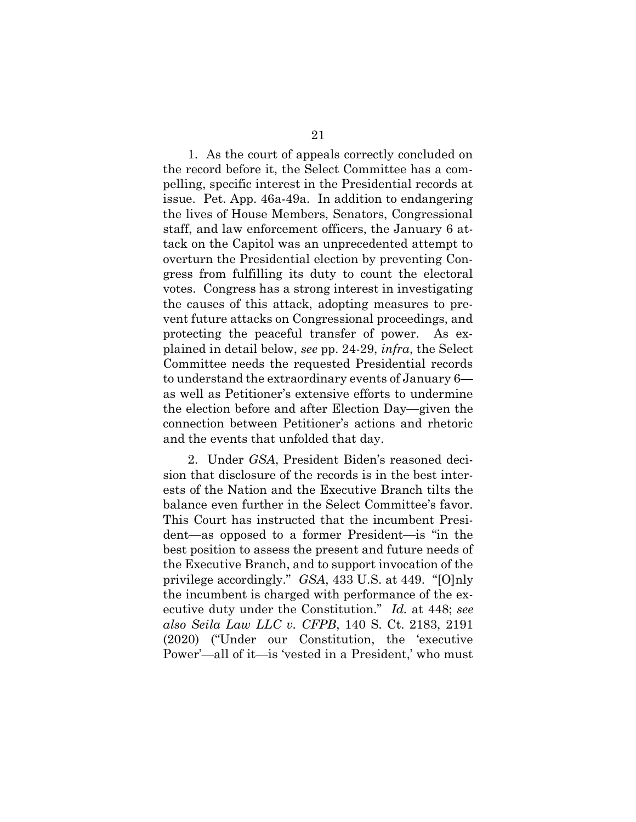<span id="page-27-0"></span> 1. As the court of appeals correctly concluded on the record before it, the Select Committee has a com-1. As the court of appeals correctly concluded on the record before it, the Select Committee has a compelling, specific interest in the Presidential records at issue. Pet. App. 46a-49a. In addition to endangering the lives of House Members, Senators, Congressional staff, and law enforcement officers, the January 6 at- tack on the Capitol was an unprecedented attempt to overturn the Presidential election by preventing Con- votes. Congress has a strong interest in investigating the causes of this attack, adopting measures to pre- vent future attacks on Congressional proceedings, and protecting the peaceful transfer of power. As ex- plained in detail below, see pp. 24-29, infra, the Select Committee needs the requested Presidential records as well as Petitioner's extensive efforts to undermine the election before and after Election Day—given the connection between Petitioner's actions and rhetoric and the events that unfolded that day. e. Pet. App. 46a-49a.<br>lives of House Membe<br>', and law enforcemen<br>on the Capitol was a:<br>turn the Presidential<br>s from fulfilling its of<br>s. Congress has a stro<br>causes of this attack,<br>future attacks on Conecting the peaceful t ained in detail below, see pp. 24-29, *infra*, th<br>nommittee needs the requested Presidential<br>understand the extraordinary events of Janu<br>well as Petitioner's extensive efforts to unc<br>e election before and after Election Da 21<br>21<br>che court of appear<br>oefore it, the Sele<br>cific interest in t<br>App. 46a-49a. In<br>House Members<br>aw enforcement c<br>Capitol was an  $\alpha$ <br>e Presidential el<br>fulfilling its du<br>gress has a strong<br>of this attack, a<br>attacks on Con gress from fulfilling its duty to count the electoral to understand the extraordinary events of January 6—

 2. Under GSA, President Biden's reasoned deci- sion that disclosure of the records is in the best inter- ests of the Nation and the Executive Branch tilts the balance even further in the Select Committee's favor. This Court has instructed that the incumbent Presi- dent—as opposed to a former President—is "in the best position to assess the present and future needs of the Executive Branch, and to support invocation of the ests of the Nation and the Executive Branch tilts the<br>balance even further in the Select Committee's favor.<br>This Court has instructed that the incumbent Presi-<br>dent—as opposed to a former President—is "in the<br>best position the incumbent is charged with performance of the exthe incumbent is charged with performance of the ex-<br>ecutive duty under the Constitution." Id. at 448; see also Seila Law LLC v. CFPB, 140 S. Ct. 2183, 2191 (2020) ("Under our Constitution, the 'executive Power'—all of it—is 'vested in a President,' who must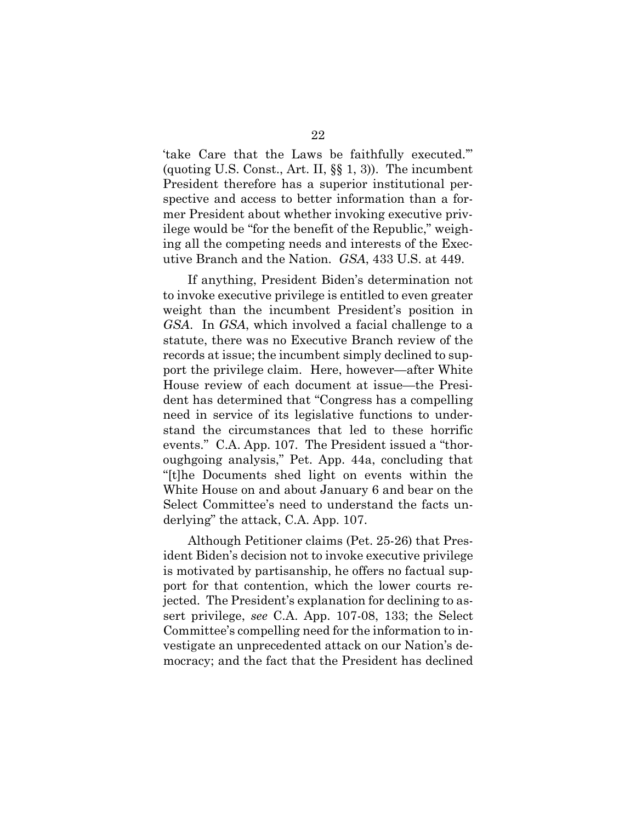'take Care that the Laws be faithfully executed.'" (quoting U.S. Const., Art. II, §§ 1, 3)). The incumbent President therefore has a superior institutional per- spective and access to better information than a for- ilege would be "for the benefit of the Republic," weigh- ing all the competing needs and interests of the Exec- utive Branch and the Nation. GSA, 433 U.S. at 449. . Const., Art. II, §§ 1, 3)). The incumb<br>erefore has a superior institutional p<br>access to better information than a<br>nt about whether invoking executive p<br>be "for the benefit of the Republic," wei<br>mpeting needs and interes mer President about whether invoking executive priv-

 If anything, President Biden's determination not to invoke executive privilege is entitled to even greater weight than the incumbent President's position in GSA. In GSA, which involved a facial challenge to a statute, there was no Executive Branch review of the records at issue; the incumbent simply declined to sup- port the privilege claim. Here, however—after White House review of each document at issue—the Presi- dent has determined that "Congress has a compelling need in service of its legislative functions to under- stand the circumstances that led to these horrific events." C.A. App. 107. The President issued a "thor- oughgoing analysis," Pet. App. 44a, concluding that "[t]he Documents shed light on events within the White House on and about January 6 and bear on the Select Committee's need to understand the facts un- derlying" the attack, C.A. App. 107. ht than the incumbe.<br>In GSA, which invertive, there was no Exercits at issue; the incum<br>the privilege claim. If<br>se review of each doce<br>has determined that<br>in service of its legi<br>d the circumstances<br>ts." C.A. App. 107. T 22<br>
re that the Laws<br>
U.S. Const., Art. II,<br>
t therefore has a s<br>
and access to bette<br>
ident about whethe<br>
ld be "for the benef<br>
ne competing needs<br>
anch and the Natior<br>
ything, President I<br>
executive privilege<br>
han the in

 Although Petitioner claims (Pet. 25-26) that Pres- ident Biden's decision not to invoke executive privilege is motivated by partisanship, he offers no factual sup- port for that contention, which the lower courts re- jected. The President's explanation for declining to assert privilege, see C.A. App. 107-08, 133; the Select<br>Committee's compelling need for the information to investigate an unprecedented attack on our Nation's de- Committee's compelling need for the information to in- vestigate an unprecedented attack on our Nation's de- mocracy; and the fact that the President has declinedThite House on and about January<br>elect Committee's need to underst<br>erlying" the attack, C.A. App. 107.<br>Although Petitioner claims (Pet<br>lent Biden's decision not to invoke e<br>motivated by partisanship, he offe<br>ort for that c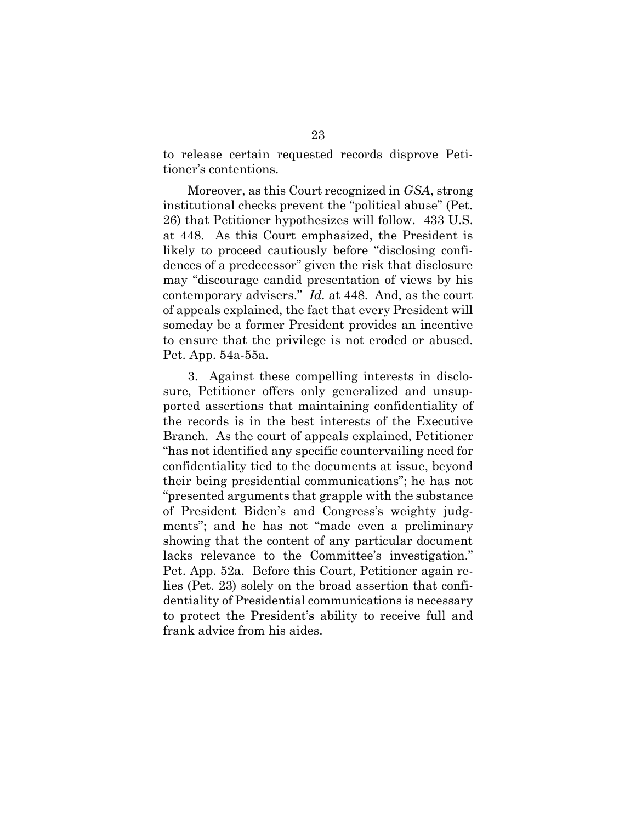to release certain requested records disprove Peti- tioner's contentions. elease certain requested records disprove Peti-<br>er's contentions.<br>Moreover, as this Court recognized in *GSA*, strong

 institutional checks prevent the "political abuse" (Pet. 26) that Petitioner hypothesizes will follow. 433 U.S. at 448. As this Court emphasized, the President is dences of a predecessor" given the risk that disclosure may "discourage candid presentation of views by his institutional checks prevent the "political abuse" (Pet.<br>26) that Petitioner hypothesizes will follow. 433 U.S.<br>at 448. As this Court emphasized, the President is<br>likely to proceed cautiously before "disclosing confi-<br>denc of appeals explained, the fact that every President will to ensure that the privilege is not eroded or abused. Pet. App. 54a-55a. ppeals explained, the fact that every Pres<br>eday be a former President provides an<br>nsure that the privilege is not eroded c<br>App. 54a-55a.<br>3. Against these compelling interests likely to proceed cautiously before "disclosing confisomeday be a former President provides an incentive

 3. Against these compelling interests in disclosure, Petitioner offers only generalized and unsup-<br>ported assertions that maintaining confidentiality of<br>the records is in the best interests of the Executive<br>Branch. As the court of appeals explained, Petitioner<br>"has not ported assertions that maintaining confidentiality of the records is in the best interests of the Executive Branch. As the court of appeals explained, Petitioner "has not identified any specific countervailing need for confidentiality tied to the documents at issue, beyond<br>their being presidential communications"; he has not their being presidential communications"; he has not "presented arguments that grapple with the substance of President Biden's and Congress's weighty judg- showing that the content of any particular document lacks relevance to the Committee's investigation." Pet. App. 52a. Before this Court, Petitioner again re- lies (Pet. 23) solely on the broad assertion that confi- dentiality of Presidential communications is necessary to protect the President's ability to receive full and frank advice from his aides.esented arguments that grapple with the<br>President Biden's and Congress's weights"; and he has not "made even a pr<br>wing that the content of any particular<br>ks relevance to the Committee's inversed.<br>App. 52a. Before this Cour 23<br>23<br>23<br>case certain requested records dis<sup>2</sup>; contentions.<br>Ioreover, as this Court recognized in utional checks prevent the "political<br>at Petitioner hypothesizes will follow<br>8. As this Court emphasized, the 1<br>to proceed ments"; and he has not "made even a preliminary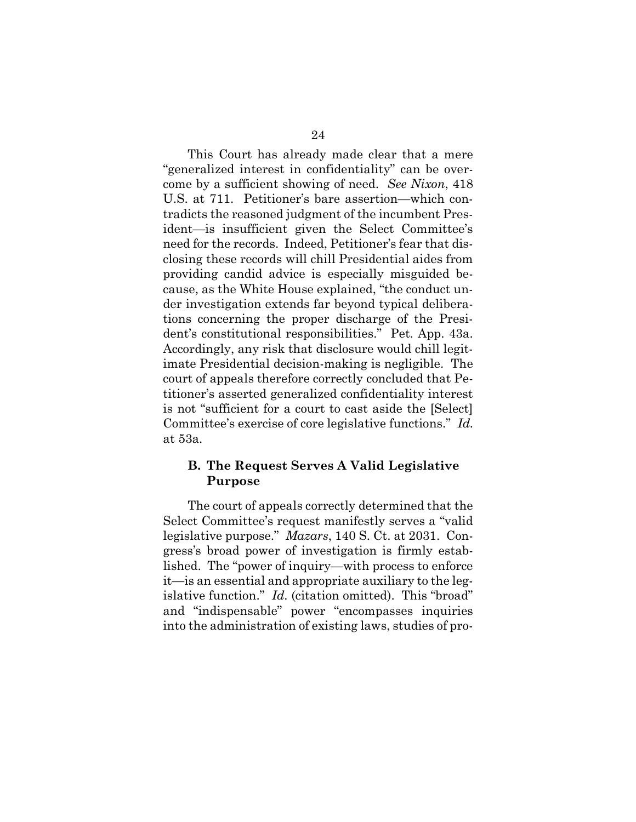This Court has already made clear that a mere come by a sufficient showing of need. See Nixon, 418 U.S. at 711. Petitioner's bare assertion—which con- need for the records. Indeed, Petitioner's fear that dis- closing these records will chill Presidential aides from providing candid advice is especially misguided be- cause, as the White House explained, "the conduct un- der investigation extends far beyond typical delibera- tions concerning the proper discharge of the Presi- dent's constitutional responsibilities." Pet. App. 43a. Accordingly, any risk that disclosure would chill legit- imate Presidential decision-making is negligible. The court of appeals therefore correctly concluded that Pe- titioner's asserted generalized confidentiality interest is not "sufficient for a court to cast aside the [Select] Committee's exercise of core legislative functions." Id. at 53a.  $\begin{bmatrix} 1 \ 1 \ 2 \end{bmatrix}$ at 711. Petitioner's baicts the reasoned judgment—is insufficient given<br>t—is insufficient given<br>l for the records. Indeed<br>ng these records will ch<br>iding candid advice is<br>e, as the White House e: nvestigation extends far beyond the concerning the proper dischargers constitutional responsibilities."<br>
Subseminatives:<br>
Subseminatives:<br>
The Presidential decision-making is<br>
of appeals therefore correctly concer's assert 24<br>
already made clear<br>
i in confidentiality'<br>
showing of need. S<br>
ner's bare assertion<br>
i judgment of the inc<br>
t given the Select<br>
Indeed, Petitioner's<br>
will chill President<br>
vice is especially 1<br>
House explained, "then<br> "generalized interest in confidentiality" can be overtradicts the reasoned judgment of the incumbent President—is insufficient given the Select Committee's

#### B. The Request Serves A Valid Legislative Purpose

 The court of appeals correctly determined that the Select Committee's request manifestly serves a "valid legislative purpose." Mazars, 140 S. Ct. at 2031. Con- gress's broad power of investigation is firmly estabgress's broad power of investigation is firmly estab-<br>lished. The "power of inquiry—with process to enforce it—is an essential and appropriate auxiliary to the legit—is an essential and appropriate auxiliary to the leg-<br>islative function." *Id*. (citation omitted). This "broad" and "indispensable" power "encompasses inquiries into the administration of existing laws, studies of pro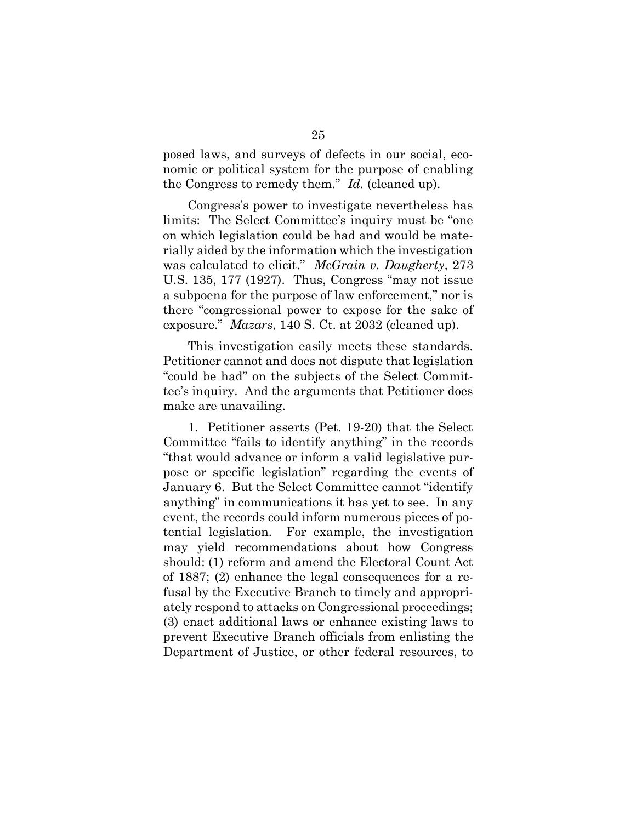posed laws, and surveys of defects in our social, eco- nomic or political system for the purpose of enabling posed laws, and surveys of defects in our social<br>nomic or political system for the purpose of ena<br>the Congress to remedy them." Id. (cleaned up).

 Congress's power to investigate nevertheless has limits: The Select Committee's inquiry must be "one rially aided by the information which the investigation was calculated to elicit." McGrain v. Daugherty, 273 U.S. 135, 177 (1927). Thus, Congress "may not issue a subpoena for the purpose of law enforcement," nor is there "congressional power to expose for the sake of there "congressional power to expose for the sake<br>exposure." *Mazars*, 140 S. Ct. at 2032 (cleaned up). Congress's power to in<br>nits: The Select Commit<br>which legislation could k<br>ally aided by the information<br>as calculated to elicit." A<br>S. 135, 177 (1927). Thus<br>subpoena for the purpose on which legislation could be had and would be mate-

 This investigation easily meets these standards. Petitioner cannot and does not dispute that legislation tee's inquiry. And the arguments that Petitioner does make are unavailing. This investigation<br>tioner cannot and d<br>ld be had" on the s<br>inquiry. And the a<br>e are unavailing.<br>1. Petitioner asser "could be had" on the subjects of the Select Commit-

 1. Petitioner asserts (Pet. 19-20) that the Select Committee "fails to identify anything" in the records pose or specific legislation" regarding the events of January 6. But the Select Committee cannot "identify anything" in communications it has yet to see. In any event, the records could inform numerous pieces of potential legislation. should: (1) reform and amend the Electoral Count Act of 1887; (2) enhance the legal consequences for a reof 1887; (2) enhance the legal consequences for a re-<br>fusal by the Executive Branch to timely and appropri- ately respond to attacks on Congressional proceedings; (3) enact additional laws or enhance existing laws to prevent Executive Branch officials from enlisting the Department of Justice, or other federal resources, tomittee "fails<br>would adva:<br>or specific l<br>ary 6. But tl ng" in communications it has yet to some precords could inform numerous pioned by legislation. For example, the invisible dependence of the form and amend the Electoral 25<br>25<br>
and surveys of<br>
tical system fo<br>
to remedy ther<br>
's power to inv<br>
Select Committ<br>
slation could b<br>
y the informatic<br>
d to elicit."  $M$ <br>
'(1927). Thus,<br>
r the purpose c<br>
ssional power<br>
fazars, 140 S. C<br>
estigation e "that would advance or inform a valid legislative pur-For example, the investigation. may yield recommendations about how Congress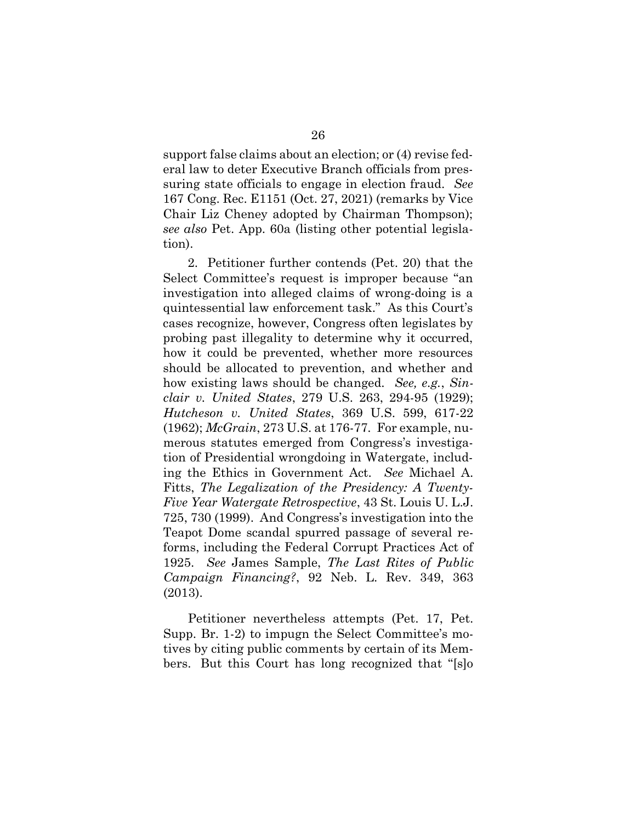support false claims about an election; or (4) revise fedsuring state officials to engage in election fraud. See 167 Cong. Rec. E1151 (Oct. 27, 2021) (remarks by Vice Chair Liz Cheney adopted by Chairman Thompson); see also Pet. App. 60a (listing other potential legisla- Chair Liz Cheney adopted by Chairman Thompson); see also Pet. App. 60a (listing other potential legislaport false claims about an electi<br>law to deter Executive Branch<br>ng state officials to engage in eral law to deter Executive Branch officials from prestion).

 2. Petitioner further contends (Pet. 20) that the Select Committee's request is improper because "an Select Committee's request is improper because "an<br>investigation into alleged claims of wrong-doing is a quintessential law enforcement task." As this Court's cases recognize, however, Congress often legislates by how it could be prevented, whether more resources should be allocated to prevention, and whether and how existing laws should be changed. See, e.g., Sin- clair v. United States, 279 U.S. 263, 294-95 (1929); Hutcheson v. United States, 369 U.S. 599, 617-22 (1962); McGrain, 273 U.S. at 176-77. For example, nu- merous statutes emerged from Congress's investiga- tion of Presidential wrongdoing in Watergate, includ- ing the Ethics in Government Act. See Michael A. Fitts, The Legalization of the Presidency: A Twenty-Five Year Watergate Retrospective, 43 St. Louis U. L.J.<br>725, 730 (1999). And Congress's investigation into the 725, 730 (1999). And Congress's investigation into the Teapot Dome scandal spurred passage of several reforms, including the Federal Corrupt Practices Act of<br>1925. See James Sample, *The Last Rites of Public<br>Campaign Financing?*, 92 Neb. L. Rev. 349, 363 1925. See James Sample, The Last Rites of Public Campaign Financing?, 92 Neb. L. Rev. 349, 363 ntessential law<br>
is recognize, ho<br>
ing past illega<br>
it could be p<br>
ild be allocate<br>
existing laws<br>
r v. United St<br>
cheson v. United St<br>
cheson v. United St<br>
colors (Diensential<br>
ous statutes en<br>
of Presidentia<br>
the Ethics 26<br>26<br>26<br>
ort false claims about ar<br>
law to deter Executive I<br>
g state officials to enge<br>
long. Rec. E1151 (Oct. 2<br>
r Liz Cheney adopted l<br>
lso Pet. App. 60a (listin<br>
.<br>
2. Petitioner further cc<br>
tt Committee's request<br>
st probing past illegality to determine why it occurred, (2013).

 Petitioner nevertheless attempts (Pet. 17, Pet. Supp. Br. 1-2) to impugn the Select Committee's mo- tives by citing public comments by certain of its Mem-bers. But this Court has long recognized that "[s]o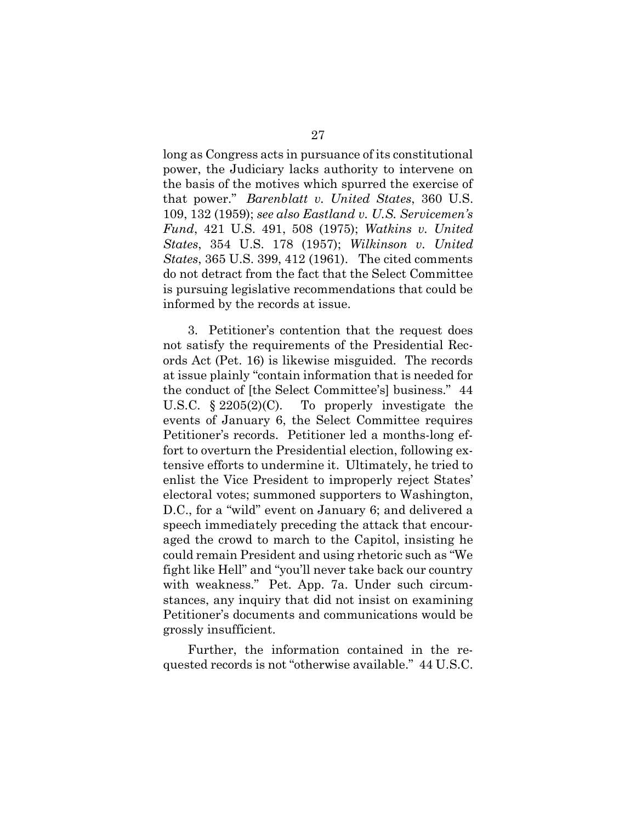long as Congress acts in pursuance of its constitutional the basis of the motives which spurred the exercise of that power." *Barenblatt v. United States,* 360 U.S.<br>109, 132 (1959); see also Eastland v. U.S. Servicemen's 109, 132 (1959); see also Eastland v. U.S. Servicemen's Fund, 421 U.S. 491, 508 (1975); Watkins v. United States, 365 U.S. 399, 412 (1961). The cited comments is pursuing legislative recommendations that could be Congress acts in j<br>the Judiciary lad<br>sis of the motives 421 U.S. 491, 508 (1975); Watki<br>, 354 U.S. 178 (1957); Wilkinsc, 365 U.S. 399, 412 (1961). The cit<br>detract from the fact that the Selee<br>suing legislative recommendations<br>ned by the records at issue. power, the Judiciary lacks authority to intervene on States, 354 U.S. 178 (1957); Wilkinson v. United do not detract from the fact that the Select Committee informed by the records at issue.

 3. Petitioner's contention that the request does ords Act (Pet. 16) is likewise misguided. The records ords Act (Pet. 16) is likewise misguided. The records<br>at issue plainly "contain information that is needed for the conduct of [the Select Committee's] business." 44 U.S.C.  $\S 2205(2)(C)$ . Petitioner's records. Petitioner led a months-long ef- fort to overturn the Presidential election, following ex- tensive efforts to undermine it. Ultimately, he tried to electoral votes; summoned supporters to Washington, D.C., for a "wild" event on January 6; and delivered a aged the crowd to march to the Capitol, insisting he could remain President and using rhetoric such as "We fight like Hell" and "you'll never take back our country with weakness." Pet. App. 7a. Under such circum- stances, any inquiry that did not insist on examining Petitioner's documents and communications would be the conduct of [the Select Committee's] business." 44<br>U.S.C. § 2205(2)(C). To properly investigate the ioner's records. Petitioner<br>o overturn the Presidential<br>ve efforts to undermine it. I<br>t the Vice President to imp<br>oral votes; summoned suppo<br>for a "wild" event on Janua<br>th immediately preceding th<br>the crowd to march to the 27<br>
Congress acts in pursual<br>
the Judiciary lacks aut<br>
s of the motives which<br>
wer." *Barenblatt v. Ui*<br>
2 (1959); *see also Eastlan*<br>
121 U.S. 491, 508 (1977);<br>
365 U.S. 399, 412 (1961)<br>
etract from the fact tha<br>
img leg not satisfy the requirements of the Presidential Recevents of January 6, the Select Committee requires enlist the Vice President to improperly reject States' speech immediately preceding the attack that encourgrossly insufficient.

 Further, the information contained in the re-quested records is not "otherwise available." 44 U.S.C.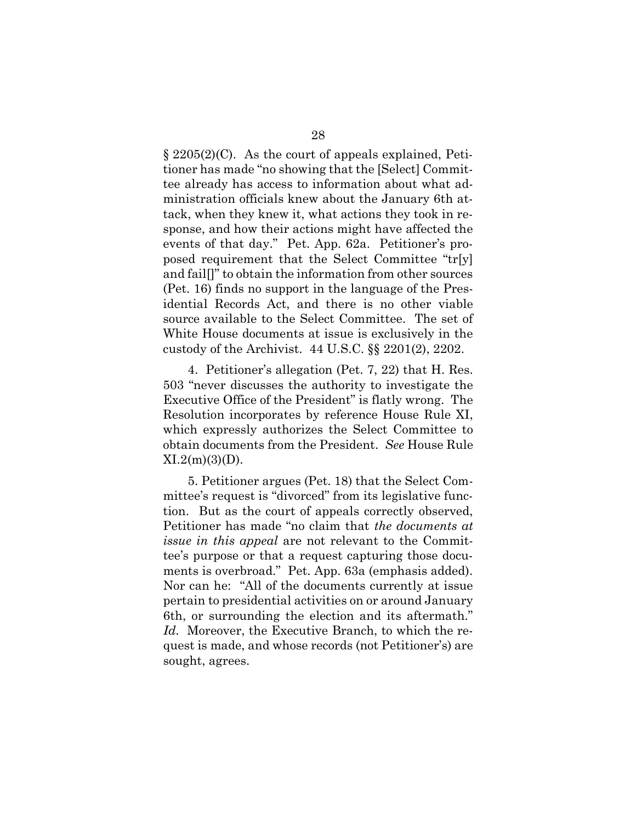§ 2205(2)(C). As the court of appeals explained, Petij tee already has access to information about what administration officials knew about the January 6th at-<br>tack, when they knew it, what actions they took in re-<br>sponse, and how their actions might have affected the<br>events of that day." Pet. App. 62a. Petitioner's pro- tack, when they knew it, what actions they took in re- sponse, and how their actions might have affected the events of that day." Pet. App. 62a. Petitioner's pro- and fail[]" to obtain the information from other sources (Pet. 16) finds no support in the language of the Pres- idential Records Act, and there is no other viable White House documents at issue is exclusively in the custody of the Archivist. 44 U.S.C. §§ 2201(2), 2202. 5(2)(C).<br>has ma<br>ready h fail[]" to obtain the in<br> $\therefore$  16) finds no support<br>tital Records Act, an<br>rce available to the S<br>ite House documents<br>cody of the Archivist. 28<br>29(C). As the court of as made "no showing<br>ady has access to inction officials knew and how their action<br>then they knew it, when and how their action<br>of that day." Pet. A incense of that day." Pet. A incense of that da tioner has made "no showing that the [Select] Commitposed requirement that the Select Committee "tr[y] source available to the Select Committee. The set of

 4. Petitioner's allegation (Pet. 7, 22) that H. Res. 503 "never discusses the authority to investigate the Executive Office of the President" is flatly wrong. The which expressly authorizes the Select Committee to 503 "never discusses the authority to investigate the Executive Office of the President" is flatly wrong. The Resolution incorporates by reference House Rule XI, which expressly authorizes the Select Committee to obtain do Resolution incorporates by reference House Rule XI,  $XI.2(m)(3)(D)$ .

 5. Petitioner argues (Pet. 18) that the Select Com- mittee's request is "divorced" from its legislative func- tion. But as the court of appeals correctly observed, issue in this appeal are not relevant to the Commit- ments is overbroad." Pet. App. 63a (emphasis added). Nor can he: "All of the documents currently at issue pertain to presidential activities on or around January Id. Moreover, the Executive Branch, to which the re- quest is made, and whose records (not Petitioner's) are sought, agrees.ee's re<br>But<br>:ioner<br>? *in th*<br>purpo<br>ts is ov ain to presidential activit<br>or surrounding the elec<br>Moreover, the Executive Petitioner has made "no claim that the documents at tee's purpose or that a request capturing those docu-6th, or surrounding the election and its aftermath."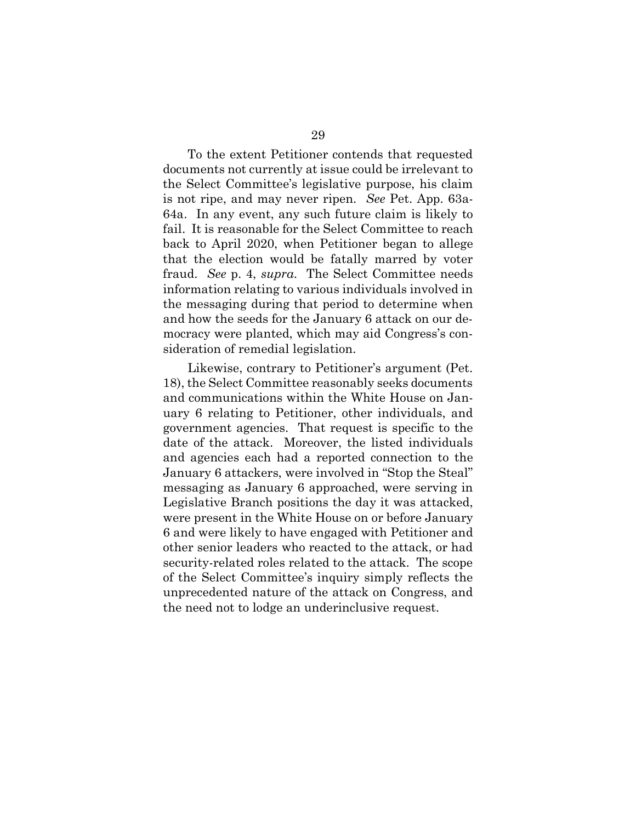To the extent Petitioner contends that requested documents not currently at issue could be irrelevant to To the extent Petitioner contends that requested<br>documents not currently at issue could be irrelevant to<br>the Select Committee's legislative purpose, his claim is not ripe, and may never ripen. See Pet. App. 63a- 64a. In any event, any such future claim is likely to fail. It is reasonable for the Select Committee to reach back to April 2020, when Petitioner began to allege fraud. See p. 4, supra. The Select Committee needs information relating to various individuals involved in and how the seeds for the January 6 attack on our de- mocracy were planted, which may aid Congress's con-For any even<br>It is reasonal<br> $\kappa$  to April 202<br>the election<br>id. See p. 4, s<br>rmation relation that the election would be fatally marred by voter the messaging during that period to determine when sideration of remedial legislation.

 18), the Select Committee reasonably seeks documents and communications within the White House on Jan- uary 6 relating to Petitioner, other individuals, and government agencies. That request is specific to the date of the attack. Moreover, the listed individuals and agencies each had a reported connection to the<br>January 6 attackers, were involved in "Stop the Steal" January 6 attackers, were involved in "Stop the Steal" messaging as January 6 approached, were serving in<br>Legislative Branch positions the day it was attacked,<br>were present in the White House on or before January Legislative Branch positions the day it was attacked, were present in the White House on or before January 6 and were likely to have engaged with Petitioner and 6 and were likely to have engaged with Petitioner and<br>other senior leaders who reacted to the attack, or had security-related roles related to the attack. The scope unprecedented nature of the attack on Congress, and the need not to lodge an underinclusive request.how the seeds for the January 6 att<br>rracy were planted, which may aid 0<br>rration of remedial legislation.<br>Likewise, contrary to Petitioner's a<br>the Select Committee reasonably see<br>communications within the White<br>y 6 relating 29<br>
29<br>
ont Petitioner contends t<br>
urrently at issue could b<br>
mittee's legislative purp<br>
may never ripen. See l<br>
ent, any such future cla<br>
aable for the Select Comn<br>
020, when Petitioner be<br>
m would be fatally ma<br>
supra. Likewise, contrary to Petitioner's argument (Pet. of the Select Committee's inquiry simply reflects the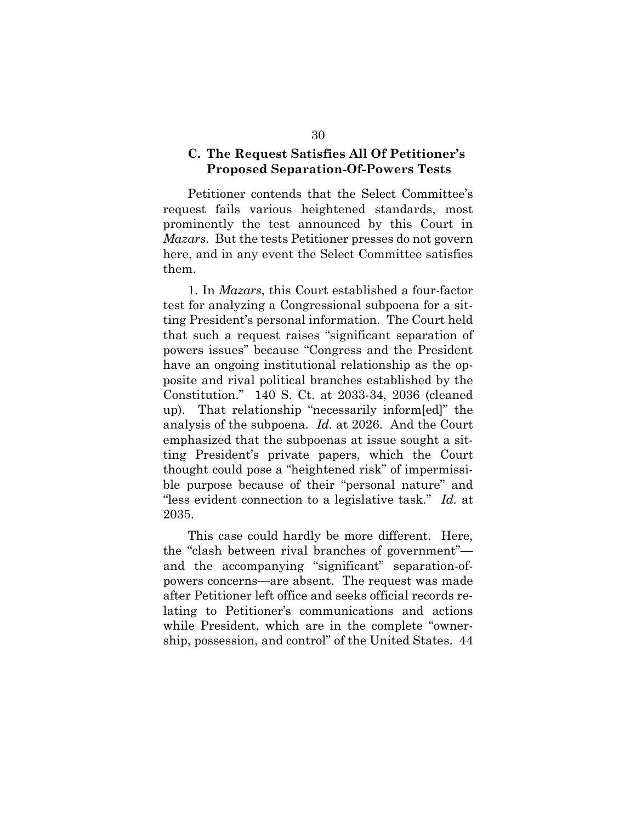#### C. The Request Satisfies All Of Petitioner's Proposed Separation-Of-Powers Tests

 Petitioner contends that the Select Committee's request fails various heightened standards, most prominently the test announced by this Court in prominently the test announced by this Court in<br>*Mazars*. But the tests Petitioner presses do not govern here, and in any event the Select Committee satisfies them.

<span id="page-36-0"></span> ting President's personal information. The Court held that such a request raises "significant separation of have an ongoing institutional relationship as the op- posite and rival political branches established by the Constitution." 140 S. Ct. at 2033-34, 2036 (cleaned up). That relationship "necessarily inform[ed]" the analysis of the subpoena. *Id.* at 2026. And the Court analysis of the subpoena. Id. at 2026. And the Court emphasized that the subpoenas at issue sought a sitemphasized that the subpoenas at issue sought a sit-<br>ting President's private papers, which the Court ble purpose because of their "personal nature" and ble purpose because of their "personal nature" and<br>"less evident connection to a legislative task." Id. at 2035. and in any<br>.<br>. In *Mazar*<br>or analyzin<br>President's such a request<br>ers issues" beca<br>an ongoing ins<br>e and rival poli<br>titution." 140 30<br>
C. The Request Satisfies All Of Petitio<br>
Proposed Separation-Of-Powers Te<br>
Petitioner contends that the Select Comn<br>
set fails various heightened standards,<br>
innently the test amounced by this Co<br>
ars. But the tests P 1. In Mazars, this Court established a four-factor test for analyzing a Congressional subpoena for a sitpowers issues" because "Congress and the President thought could pose a "heightened risk" of impermissi-

 This case could hardly be more different. Here, the "clash between rival branches of government"— powers concerns—are absent. The request was made after Petitioner left office and seeks official records re- lating to Petitioner's communications and actions while President, which are in the complete "owner- ship, possession, and control" of the United States. 44and the accompanying "significant" separation-of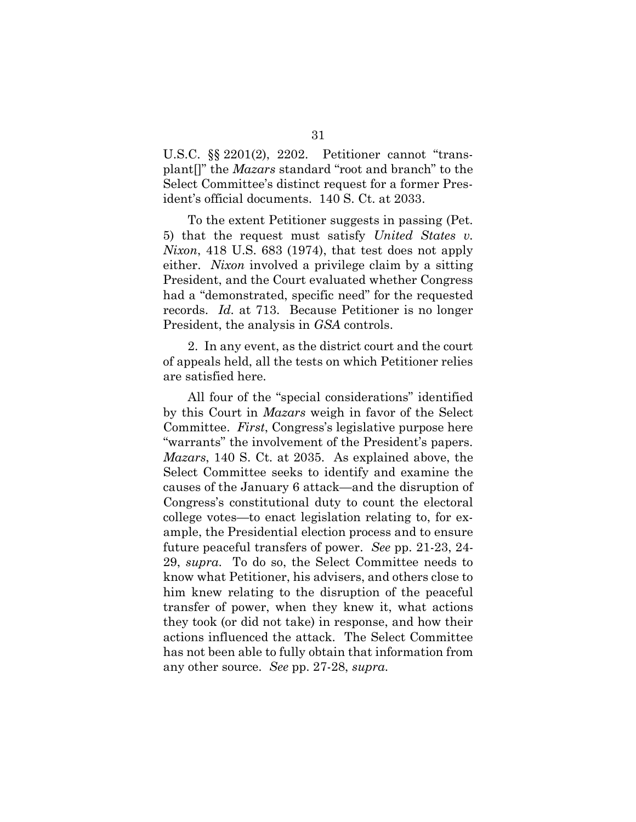<span id="page-37-0"></span> U.S.C. §§ 2201(2), 2202. Petitioner cannot "trans-U.S.C. §§ 2201(2), 2202. Petitioner cannot "trans-<br>plant[]" the *Mazars* standard "root and branch" to the Select Committee's distinct request for a former Pres-ident's official documents. 140 S. Ct. at 2033.

 To the extent Petitioner suggests in passing (Pet. Nixon, 418 U.S. 683 (1974), that test does not apply either. Nixon involved a privilege claim by a sitting President, and the Court evaluated whether Congress had a "demonstrated, specific need" for the requested records. Id. at 713. Because Petitioner is no longer nt's official document's official document<br>To the extent Pet<br>that the request<br>on, 418 U.S. 683<br>er. Nixon involve<br>sident, and the Co<br>a "demonstrated, 5) that the request must satisfy United States v. President, the analysis in GSA controls.

 2. In any event, as the district court and the court of appeals held, all the tests on which Petitioner relies are satisfied here. s. Id. at 713. B<br>lent, the analysis<br>In any event, as<br>eals held, all the t<br>tisfied here.

 All four of the "special considerations" identified by this Court in Mazars weigh in favor of the Select Committee. First, Congress's legislative purpose here "warrants" the involvement of the President's papers. Mazars, 140 S. Ct. at 2035. As explained above, the Select Committee seeks to identify and examine the college votes—to enact legislation relating to, for ex- ample, the Presidential election process and to ensure 29, supra. To do so, the Select Committee needs to know what Petitioner, his advisers, and others close to him knew relating to the disruption of the peaceful<br>transfer of power, when they knew it, what actions<br>they took (or did not take) in response, and how their transfer of power, when they knew it, what actions they took (or did not take) in response, and how their actions influenced the attack. The Select Committee has not been able to fully obtain that information from actions influenced the attack. The Sel<br>has not been able to fully obtain that in:<br>any other source. *See* pp. 27-28, *supra*. four of the "special considerations" id Court in *Mazars* weigh in favor of the ttee. *First*, Congress's legislative purponts" the involvement of the President's  $s$ , 140 S. Ct. at 2035. As explained abe Committee seeks ple, the Presidentia<br>ure peaceful transfe<br>supra. To do so, 1<br>ow what Petitioner, causes of the January 6 attack—and the disruption of Congress's constitutional duty to count the electoral future peaceful transfers of power. See pp. 21-23, 24-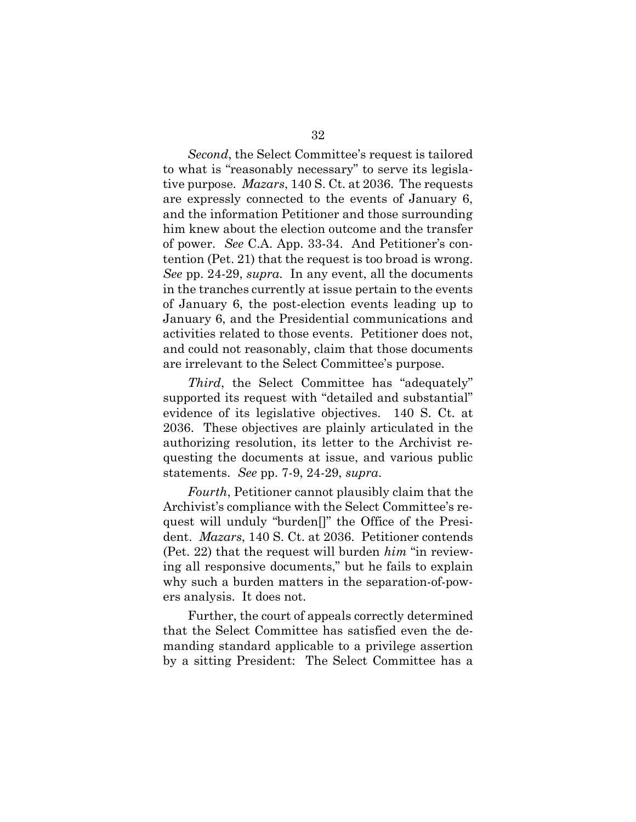Second, the Select Committee's request is tailored tive purpose. *Mazars*, 140 S. Ct. at 2036. The requests are expressly connected to the events of January 6,<br>and the information Petitioner and those surrounding<br>him knew about the election outcome and the transfer<br>of power. See C.A. App. 33-34. And Petitioner's con-<br>tention (Pe and the information Petitioner and those surrounding him knew about the election outcome and the transfer of power. See C.A. App. 33-34. And Petitioner's con- tention (Pet. 21) that the request is too broad is wrong. See pp. 24-29, *supra*. In any event, all the documents of January 6, the post-election events leading up to activities related to those events. Petitioner does not, and could not reasonably, claim that those documents are irrelevant to the Select Committee's purpose. ond, the Select Committee's<br>is "reasonably necessary" to<br>pose. Mazars, 140 S. Ct. at 2 ry 6, the post-ele<br>6, and the Presid<br>related to those<br> $l$  not reasonably,<br>vant to the Selec<br> $d$ , the Select Co<br>d its request with 32<br>Comreces<br>40 S.<br>40 S.<br>40 S.<br>40 S.<br>40 S.<br>60 S.<br>60 S.<br>60 S.<br>60 S.<br>60 S.<br>60 S.<br>60 S.<br>60 S.<br>60 S.<br>60 S.<br>60 S.<br>60 S.<br>60 S.<br>60 S.<br>60 S.<br>60 S.<br>60 S.<br>60 S.<br>60 S.<br>60 S.<br>60 S.<br>60 S.<br>60 S.<br>60 S.<br>60 S.<br>60 S.<br>60 S.<br>60 S.<br>60 S.<br>60 S.<br> to what is "reasonably necessary" to serve its legislain the tranches currently at issue pertain to the events January 6, and the Presidential communications and

 supported its request with "detailed and substantial" evidence of its legislative objectives. 140 S. Ct. at 2036. These objectives are plainly articulated in the authorizing resolution, its letter to the Archivist re- questing the documents at issue, and various public Third, the Select Committee has "adequately" statements. See pp. 7-9, 24-29, supra.

Fourth, Petitioner cannot plausibly claim that the quest will unduly "burden[]" the Office of the Presi- dent. Mazars, 140 S. Ct. at 2036. Petitioner contends (Pet. 22) that the request will burden  $him$  "in reviewdent. *Mazars*, 140 S. Ct. at 2036. Petitioner contends<br>(Pet. 22) that the request will burden *him* "in review-<br>ing all responsive documents," but he fails to explain ers analysis. It does not. prizing resolution, i<br>ing the documents<br>ments. See pp. 7-9,<br>fourth, Petitioner ca<br>vist's compliance wi<br>will unduly "burde Archivist's compliance with the Select Committee's re-

why such a burden matters in the separation-of-pow-<br>ers analysis. It does not.<br>Further, the court of appeals correctly determined<br>that the Select Committee has satisfied even the de-<br>manding standard applicable to a privil Further, the court of appeals correctly determined that the Select Committee has satisfied even the de- manding standard applicable to a privilege assertion by a sitting President: The Select Committee has a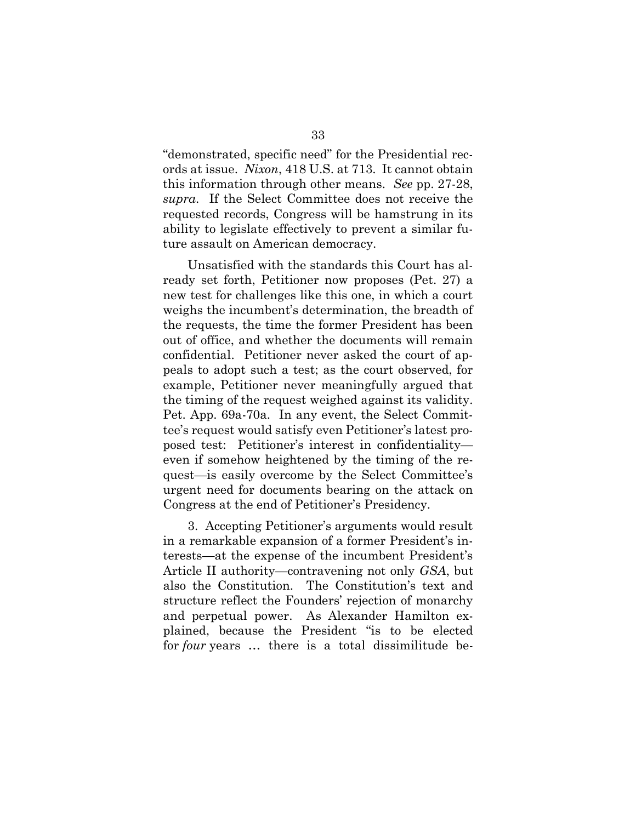"demonstrated, specific need" for the Presidential rec- this information through other means. See pp. 27-28, supra. If the Select Committee does not receive the requested records, Congress will be hamstrung in its ture assault on American democracy. nonstrated, s<br>at issue. Ni.<br>information ested records,<br>ity to legislate<br>assault on Am<br>Unsatisfied wi<br>ly set forth, Pe<br>test for challer ords at issue. Nixon, 418 U.S. at 713. It cannot obtain ability to legislate effectively to prevent a similar fu-

 Unsatisfied with the standards this Court has al- ready set forth, Petitioner now proposes (Pet. 27) a new test for challenges like this one, in which a court weighs the incumbent's determination, the breadth of weighs the incumbent's determination, the breadth of<br>the requests, the time the former President has been out of office, and whether the documents will remain<br>confidential. Petitioner never asked the court of ap- confidential. Petitioner never asked the court of ap- peals to adopt such a test; as the court observed, for example, Petitioner never meaningfully argued that the timing of the request weighed against its validity. Pet. App. 69a-70a. In any event, the Select Commitpeals to adopt such a test; as the court observed, for<br>example, Petitioner never meaningfully argued that<br>the timing of the request weighed against its validity.<br>Pet. App. 69a-70a. In any event, the Select Commit-<br>tee's re even if somehow heightened by the timing of the re- Congress at the end of Petitioner's Presidency. omehow heightened by the timicasily overcome by the Select<br>eed for documents bearing on t<br>at the end of Petitioner's Presid<br>ccepting Petitioner's arguments tee's request would satisfy even Petitioner's latest proquest—is easily overcome by the Select Committee's urgent need for documents bearing on the attack on

 3. Accepting Petitioner's arguments would result in a remarkable expansion of a former President's interests—at the expense of the incumbent President's Article II authority—contravening not only *GSA*, but also the Constitution. The Constitution's text and Article II authority—contravening not only GSA, but also the Constitution. The Constitution's text and and perpetual power. As Alexander Hamilton ex-<br>plained, because the President "is to be elected<br>for *four* years ... there is a total dissimilitude be- plained, because the President "is to be elected for four years ... there is a total dissimilitude beterests—at the expense of the incumbent President's structure reflect the Founders' rejection of monarchy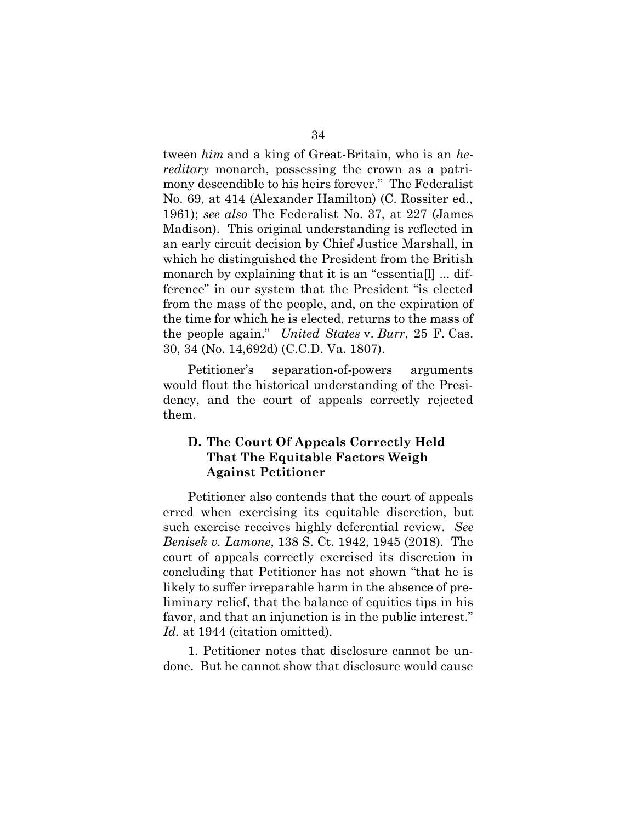tween him and a king of Great-Britain, who is an hereditary monarch, possessing the crown as a patri- mony descendible to his heirs forever." The Federalist No. 69, at 414 (Alexander Hamilton) (C. Rossiter ed., 1961); *see also* The Federalist No. 37, at 227 (James 1961); see also The Federalist No. 37, at 227 (James Madison). This original understanding is reflected in an early circuit decision by Chief Justice Marshall, in ference" in our system that the President "is elected from the mass of the people, and, on the expiration of the time for which he is elected, returns to the mass of 30, 34 (No. 14,692d) (C.C.D. Va. 1807). This origina<br>ircuit decisior<br>distinguished<br>oy explaining<br>n our system m the ma<br>
expection:<br>
people a:<br>
34 (No. 1<br>
Petition<br>
uld flout<br>
ncy, and 34<br>34<br>34<br>31<br>31; deen him and a king of Gr<br>itary monarch, possessiny descendible to his heir<br>31); see also The Federal<br>31); see also The Federal<br>31); see also The Federal<br>31); see also The Federal<br>31); see also The Federal which he distinguished the President from the British monarch by explaining that it is an "essentia[l] ... difthe people again." United States v. Burr, 25 F. Cas.

 dency, and the court of appeals correctly rejected them. Petitioner's separation-of-powers arguments would flout the historical understanding of the Presi-

#### D. The Court Of Appeals Correctly Held That The Equitable Factors Weigh Against Petitioner

 Petitioner also contends that the court of appeals Petitioner also contends that the court of appeals<br>erred when exercising its equitable discretion, but such exercise receives highly deferential review. See such exercise receives highly deferential review. See<br>Benisek v. Lamone, 138 S. Ct. 1942, 1945 (2018). The court of appeals correctly exercised its discretion in concluding that Petitioner has not shown "that he is liminary relief, that the balance of equities tips in his favor, and that an injunction is in the public interest." Id. at 1944 (citation omitted). of appeals correctly exerciding that Petitioner has no<br>to suffer irreparable harm<br>ary relief, that the balance likely to suffer irreparable harm in the absence of pre-

 1. Petitioner notes that disclosure cannot be un-done. But he cannot show that disclosure would cause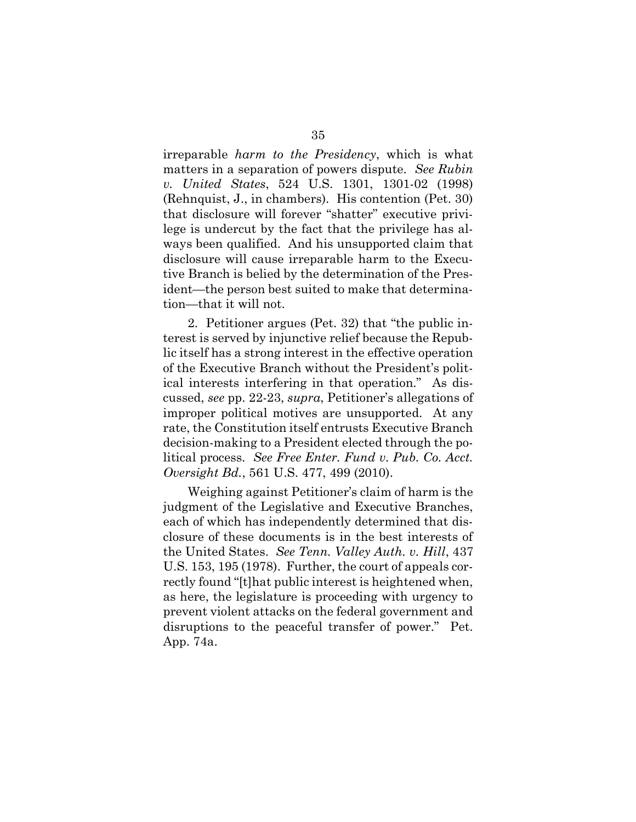irreparable *harm to the Presidency*, which is what v. United States, 524 U.S. 1301, 1301-02 (1998) (Rehnquist, J., in chambers). His contention (Pet. 30)<br>that disclosure will forever "shatter" executive privi-<br>lege is undercut by the fact that the privilege has al- that disclosure will forever "shatter" executive privi- lege is undercut by the fact that the privilege has always been qualified. And his unsupported claim that<br>disclosure will cause irreparable harm to the Execu-<br>tive Branch is belied by the determination of the Pres-<br>ident—the person best suited to make that determina- tive Branch is belied by the determination of the Pres- ident—the person best suited to make that determina- tion—that it will not. reparable *harm to the Presidency*,<br>atters in a separation of powers disp<br>*United States*, 524 U.S. 1301, matters in a separation of powers dispute. See Rubin disclosure will cause irreparable harm to the Execu-

<span id="page-41-0"></span> 2. Petitioner argues (Pet. 32) that "the public in- terest is served by injunctive relief because the Repub- lic itself has a strong interest in the effective operation of the Executive Branch without the President's polit- ical interests interfering in that operation." As dis- cussed, see pp. 22-23, supra, Petitioner's allegations of improper political motives are unsupported. At any rate, the Constitution itself entrusts Executive Branch decision-making to a President elected through the po- litical process. See Free Enter. Fund v. Pub. Co. Acct. Oversight Bd., 561 U.S. 477, 499 (2010). rest is served by injunctive relief becains it is<br>elf has a strong interest in the effective Branch without the Pi<br>all interests interfering in that operased, see pp. 22-23, supra, Petitioner<br>proper political motives are u 35<br>35<br>35<br>35<br>earable harm to the Piers in a separation of p<br>mited States, 524 U.S.<br>may ist, J., in chambers)<br>disclosure will forever<br>is undercut by the fact<br>been qualified. And his<br>osure will cause irreparach is belied by

 Weighing against Petitioner's claim of harm is the each of which has independently determined that dis- closure of these documents is in the best interests of the United States. See Tenn. Valley Auth. v. Hill, 437 U.S. 153, 195 (1978). Further, the court of appeals cor- rectly found "[t]hat public interest is heightened when, as here, the legislature is proceeding with urgency to prevent violent attacks on the federal government and disruptions to the peaceful transfer of power." Pet. App. 74a.judgment of the Legislative and Executive Branches,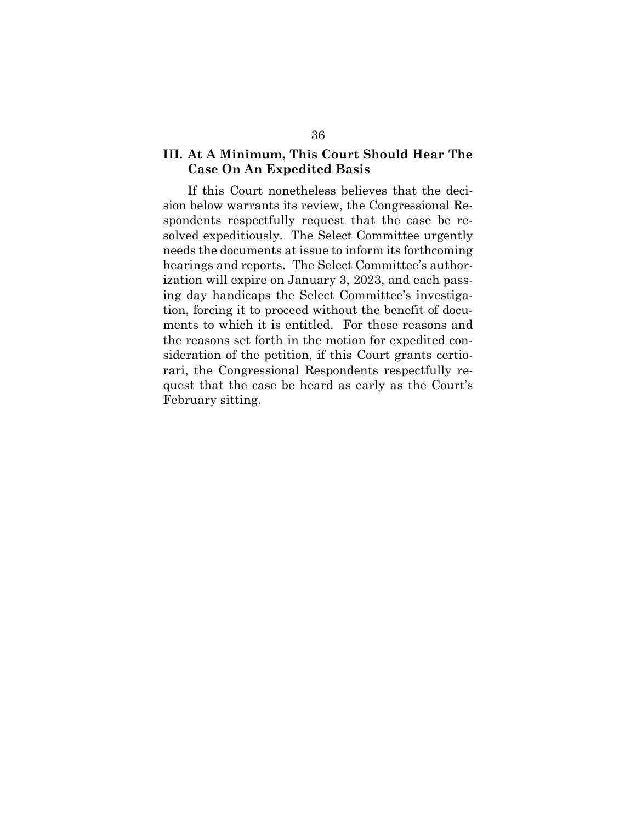#### III. At A Minimum, This Court Should Hear The Case On An Expedited Basis

<span id="page-42-0"></span> If this Court nonetheless believes that the deci- sion below warrants its review, the Congressional Re- solved expeditiously. The Select Committee urgently hearings and reports. The Select Committee's author- ization will expire on January 3, 2023, and each pass- ing day handicaps the Select Committee's investiga- tion, forcing it to proceed without the benefit of docu- ments to which it is entitled. For these reasons and the reasons set forth in the motion for expedited con- sideration of the petition, if this Court grants certio- rari, the Congressional Respondents respectfully re- quest that the case be heard as early as the Court's February sitting.At A M<br>Case O<br>If this (<br>n below w<br>mdents r<br>red expects<br>ds the do<br>rings and<br>ion will (<br>day han<br>, forcing<br>nts to wh<br>reasons 36<br>36<br>At A Minimum, This Co<br>Case On An Expedited<br>If this Court nonetheless<br>below warrants its review<br>dents respectfully reques<br>ed expeditiously. The Sel<br>ls the documents at issue tings and reports. The Sel<br>on will expire o spondents respectfully request that the case be reneeds the documents at issue to inform its forthcoming